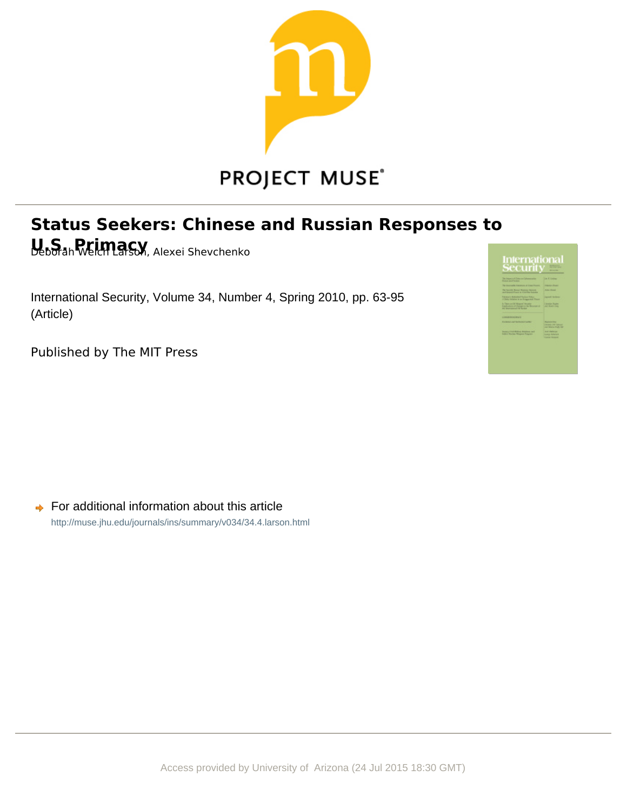

# **Status Seekers: Chinese and Russian Responses to ULS PrimasX**, Alexei Shevchenko

International Security, Volume 34, Number 4, Spring 2010, pp. 63-95 (Article)

Published by The MIT Press



 $\rightarrow$  For additional information about this article <http://muse.jhu.edu/journals/ins/summary/v034/34.4.larson.html>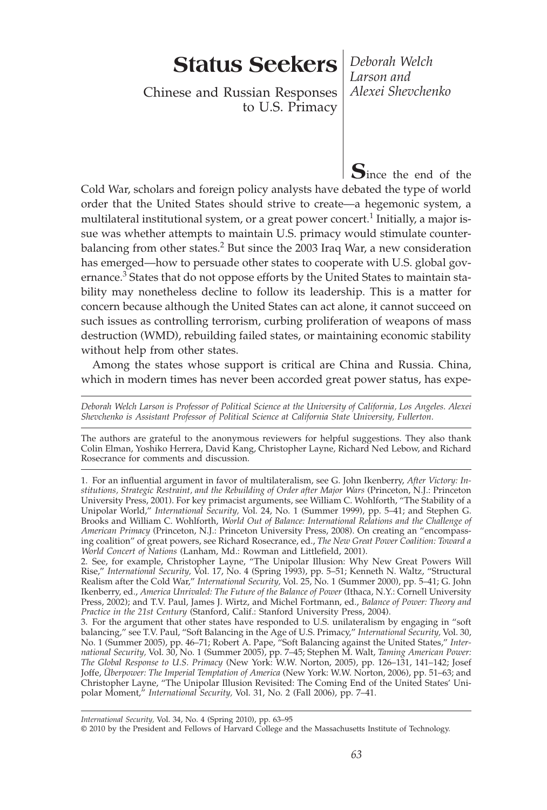# **Status Seekers** *Deborah Welch*

**Chinese and Russian Responses** to U.S. Primacy

*Larson and*

**S**ince the end of the Cold War, scholars and foreign policy analysts have debated the type of world order that the United States should strive to create—a hegemonic system, a multilateral institutional system, or a great power concert.<sup>1</sup> Initially, a major issue was whether attempts to maintain U.S. primacy would stimulate counterbalancing from other states.<sup>2</sup> But since the 2003 Iraq War, a new consideration has emerged—how to persuade other states to cooperate with U.S. global governance.<sup>3</sup> States that do not oppose efforts by the United States to maintain stability may nonetheless decline to follow its leadership. This is a matter for concern because although the United States can act alone, it cannot succeed on such issues as controlling terrorism, curbing proliferation of weapons of mass destruction (WMD), rebuilding failed states, or maintaining economic stability without help from other states.

Among the states whose support is critical are China and Russia. China, which in modern times has never been accorded great power status, has expe-

*Deborah Welch Larson is Professor of Political Science at the University of California, Los Angeles. Alexei Shevchenko is Assistant Professor of Political Science at California State University, Fullerton.*

The authors are grateful to the anonymous reviewers for helpful suggestions. They also thank Colin Elman, Yoshiko Herrera, David Kang, Christopher Layne, Richard Ned Lebow, and Richard Rosecrance for comments and discussion.

1. For an influential argument in favor of multilateralism, see G. John Ikenberry, *After Victory: Institutions, Strategic Restraint, and the Rebuilding of Order after Major Wars* (Princeton, N.J.: Princeton University Press, 2001). For key primacist arguments, see William C. Wohlforth, "The Stability of a Unipolar World," *International Security,* Vol. 24, No. 1 (Summer 1999), pp. 5–41; and Stephen G. Brooks and William C. Wohlforth, *World Out of Balance: International Relations and the Challenge of American Primacy* (Princeton, N.J.: Princeton University Press, 2008). On creating an "encompassing coalition" of great powers, see Richard Rosecrance, ed., *The New Great Power Coalition: Toward a World Concert of Nations* (Lanham, Md.: Rowman and Littlefield, 2001).

2. See, for example, Christopher Layne, "The Unipolar Illusion: Why New Great Powers Will Rise," *International Security,* Vol. 17, No. 4 (Spring 1993), pp. 5–51; Kenneth N. Waltz, "Structural Realism after the Cold War," *International Security,* Vol. 25, No. 1 (Summer 2000), pp. 5–41; G. John Ikenberry, ed., *America Unrivaled: The Future of the Balance of Power* (Ithaca, N.Y.: Cornell University Press, 2002); and T.V. Paul, James J. Wirtz, and Michel Fortmann, ed., *Balance of Power: Theory and Practice in the 21st Century* (Stanford, Calif.: Stanford University Press, 2004).

3. For the argument that other states have responded to U.S. unilateralism by engaging in "soft balancing," see T.V. Paul, "Soft Balancing in the Age of U.S. Primacy," *International Security,* Vol. 30, No. 1 (Summer 2005), pp. 46–71; Robert A. Pape, "Soft Balancing against the United States," *International Security,* Vol. 30, No. 1 (Summer 2005), pp. 7–45; Stephen M. Walt, *Taming American Power: The Global Response to U.S. Primacy* (New York: W.W. Norton, 2005), pp. 126–131, 141–142; Josef Joffe, *Überpower: The Imperial Temptation of America* (New York: W.W. Norton, 2006), pp. 51–63; and Christopher Layne, "The Unipolar Illusion Revisited: The Coming End of the United States' Unipolar Moment," *International Security,* Vol. 31, No. 2 (Fall 2006), pp. 7–41.

*International Security,* Vol. 34, No. 4 (Spring 2010), pp. 63–95

© 2010 by the President and Fellows of Harvard College and the Massachusetts Institute of Technology.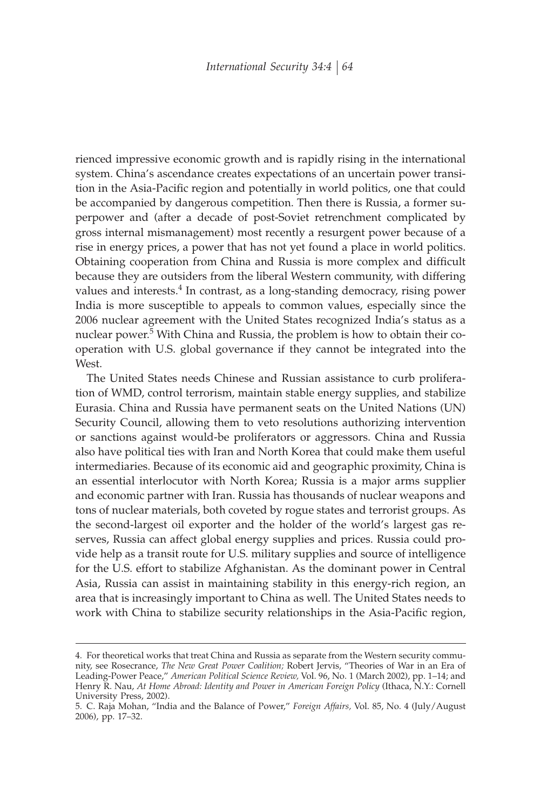rienced impressive economic growth and is rapidly rising in the international system. China's ascendance creates expectations of an uncertain power transition in the Asia-Pacific region and potentially in world politics, one that could be accompanied by dangerous competition. Then there is Russia, a former superpower and (after a decade of post-Soviet retrenchment complicated by gross internal mismanagement) most recently a resurgent power because of a rise in energy prices, a power that has not yet found a place in world politics. Obtaining cooperation from China and Russia is more complex and difficult because they are outsiders from the liberal Western community, with differing values and interests.<sup>4</sup> In contrast, as a long-standing democracy, rising power India is more susceptible to appeals to common values, especially since the 2006 nuclear agreement with the United States recognized India's status as a nuclear power.<sup>5</sup> With China and Russia, the problem is how to obtain their cooperation with U.S. global governance if they cannot be integrated into the West.

The United States needs Chinese and Russian assistance to curb proliferation of WMD, control terrorism, maintain stable energy supplies, and stabilize Eurasia. China and Russia have permanent seats on the United Nations (UN) Security Council, allowing them to veto resolutions authorizing intervention or sanctions against would-be proliferators or aggressors. China and Russia also have political ties with Iran and North Korea that could make them useful intermediaries. Because of its economic aid and geographic proximity, China is an essential interlocutor with North Korea; Russia is a major arms supplier and economic partner with Iran. Russia has thousands of nuclear weapons and tons of nuclear materials, both coveted by rogue states and terrorist groups. As the second-largest oil exporter and the holder of the world's largest gas reserves, Russia can affect global energy supplies and prices. Russia could provide help as a transit route for U.S. military supplies and source of intelligence for the U.S. effort to stabilize Afghanistan. As the dominant power in Central Asia, Russia can assist in maintaining stability in this energy-rich region, an area that is increasingly important to China as well. The United States needs to work with China to stabilize security relationships in the Asia-Pacific region,

<sup>4.</sup> For theoretical works that treat China and Russia as separate from the Western security community, see Rosecrance, *The New Great Power Coalition;* Robert Jervis, "Theories of War in an Era of Leading-Power Peace," *American Political Science Review,* Vol. 96, No. 1 (March 2002), pp. 1–14; and Henry R. Nau, *At Home Abroad: Identity and Power in American Foreign Policy* (Ithaca, N.Y.: Cornell University Press, 2002).

<sup>5.</sup> C. Raja Mohan, "India and the Balance of Power," *Foreign Affairs,* Vol. 85, No. 4 (July/August 2006), pp. 17–32.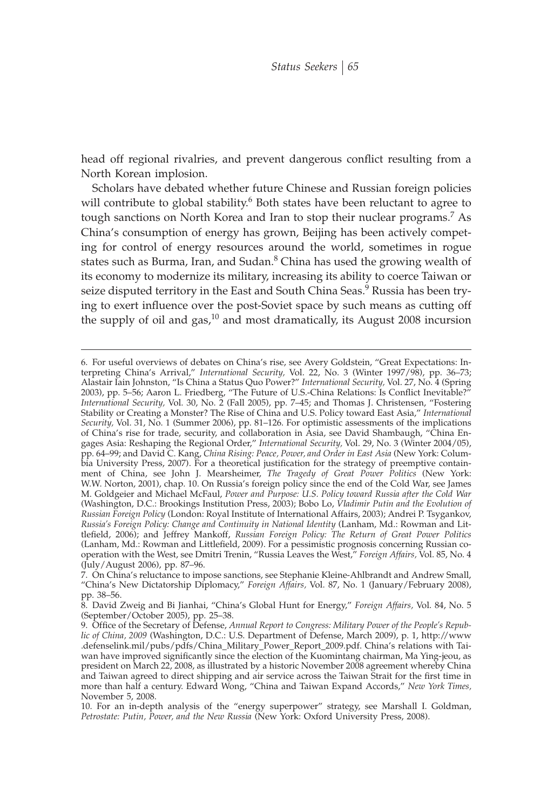head off regional rivalries, and prevent dangerous conflict resulting from a North Korean implosion.

Scholars have debated whether future Chinese and Russian foreign policies will contribute to global stability.<sup>6</sup> Both states have been reluctant to agree to tough sanctions on North Korea and Iran to stop their nuclear programs.<sup>7</sup> As China's consumption of energy has grown, Beijing has been actively competing for control of energy resources around the world, sometimes in rogue states such as Burma, Iran, and Sudan.<sup>8</sup> China has used the growing wealth of its economy to modernize its military, increasing its ability to coerce Taiwan or seize disputed territory in the East and South China Seas.<sup>9</sup> Russia has been trying to exert influence over the post-Soviet space by such means as cutting off the supply of oil and gas, $^{10}$  and most dramatically, its August 2008 incursion

10. For an in-depth analysis of the "energy superpower" strategy, see Marshall I. Goldman, *Petrostate: Putin, Power, and the New Russia* (New York: Oxford University Press, 2008).

<sup>6.</sup> For useful overviews of debates on China's rise, see Avery Goldstein, "Great Expectations: Interpreting China's Arrival," *International Security,* Vol. 22, No. 3 (Winter 1997/98), pp. 36–73; Alastair Iain Johnston, "Is China a Status Quo Power?" *International Security,* Vol. 27, No. 4 (Spring 2003), pp. 5–56; Aaron L. Friedberg, "The Future of U.S.-China Relations: Is Conflict Inevitable?" *International Security,* Vol. 30, No. 2 (Fall 2005), pp. 7–45; and Thomas J. Christensen, "Fostering Stability or Creating a Monster? The Rise of China and U.S. Policy toward East Asia," *International Security,* Vol. 31, No. 1 (Summer 2006), pp. 81–126. For optimistic assessments of the implications of China's rise for trade, security, and collaboration in Asia, see David Shambaugh, "China Engages Asia: Reshaping the Regional Order," *International Security,* Vol. 29, No. 3 (Winter 2004/05), pp. 64–99; and David C. Kang, *China Rising: Peace, Power, and Order in East Asia* (New York: Columbia University Press, 2007). For a theoretical justification for the strategy of preemptive containment of China, see John J. Mearsheimer, *The Tragedy of Great Power Politics* (New York: W.W. Norton, 2001), chap. 10. On Russia's foreign policy since the end of the Cold War, see James M. Goldgeier and Michael McFaul, *Power and Purpose: U.S. Policy toward Russia after the Cold War* (Washington, D.C.: Brookings Institution Press, 2003); Bobo Lo, *Vladimir Putin and the Evolution of Russian Foreign Policy* (London: Royal Institute of International Affairs, 2003); Andrei P. Tsygankov, *Russia's Foreign Policy: Change and Continuity in National Identity* (Lanham, Md.: Rowman and Littlefield, 2006); and Jeffrey Mankoff, *Russian Foreign Policy: The Return of Great Power Politics* (Lanham, Md.: Rowman and Littlefield, 2009). For a pessimistic prognosis concerning Russian cooperation with the West, see Dmitri Trenin, "Russia Leaves the West," *Foreign Affairs,* Vol. 85, No. 4 (July/August 2006), pp. 87–96.

<sup>7.</sup> On China's reluctance to impose sanctions, see Stephanie Kleine-Ahlbrandt and Andrew Small, "China's New Dictatorship Diplomacy," *Foreign Affairs,* Vol. 87, No. 1 (January/February 2008), pp. 38–56.

<sup>8.</sup> David Zweig and Bi Jianhai, "China's Global Hunt for Energy," *Foreign Affairs,* Vol. 84, No. 5 (September/October 2005), pp. 25–38.

<sup>9.</sup> Office of the Secretary of Defense, *Annual Report to Congress: Military Power of the People's Republic of China, 2009* (Washington, D.C.: U.S. Department of Defense, March 2009), p. 1, http://www .defenselink.mil/pubs/pdfs/China\_Military\_Power\_Report\_2009.pdf. China's relations with Taiwan have improved significantly since the election of the Kuomintang chairman, Ma Ying-jeou, as president on March 22, 2008, as illustrated by a historic November 2008 agreement whereby China and Taiwan agreed to direct shipping and air service across the Taiwan Strait for the first time in more than half a century. Edward Wong, "China and Taiwan Expand Accords," *New York Times,* November 5, 2008.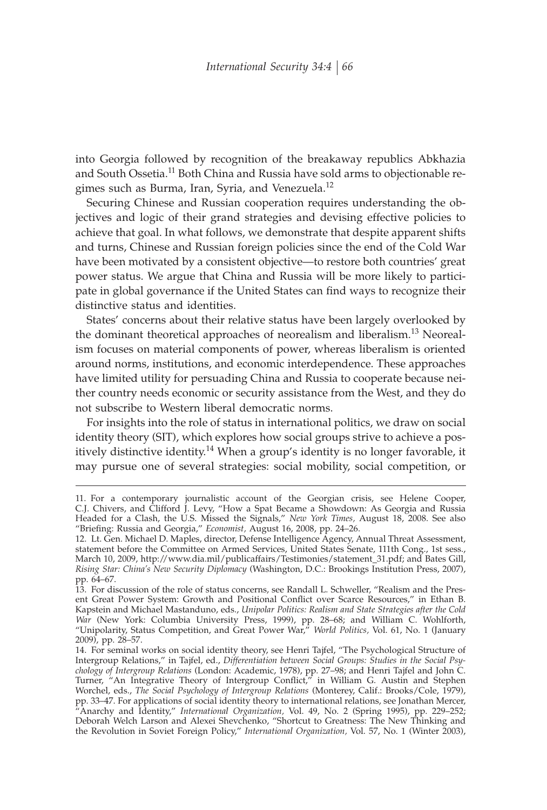into Georgia followed by recognition of the breakaway republics Abkhazia and South Ossetia.<sup>11</sup> Both China and Russia have sold arms to objectionable regimes such as Burma, Iran, Syria, and Venezuela.<sup>12</sup>

Securing Chinese and Russian cooperation requires understanding the objectives and logic of their grand strategies and devising effective policies to achieve that goal. In what follows, we demonstrate that despite apparent shifts and turns, Chinese and Russian foreign policies since the end of the Cold War have been motivated by a consistent objective—to restore both countries' great power status. We argue that China and Russia will be more likely to participate in global governance if the United States can find ways to recognize their distinctive status and identities.

States' concerns about their relative status have been largely overlooked by the dominant theoretical approaches of neorealism and liberalism.<sup>13</sup> Neorealism focuses on material components of power, whereas liberalism is oriented around norms, institutions, and economic interdependence. These approaches have limited utility for persuading China and Russia to cooperate because neither country needs economic or security assistance from the West, and they do not subscribe to Western liberal democratic norms.

For insights into the role of status in international politics, we draw on social identity theory (SIT), which explores how social groups strive to achieve a positively distinctive identity.<sup>14</sup> When a group's identity is no longer favorable, it may pursue one of several strategies: social mobility, social competition, or

<sup>11.</sup> For a contemporary journalistic account of the Georgian crisis, see Helene Cooper, C.J. Chivers, and Clifford J. Levy, "How a Spat Became a Showdown: As Georgia and Russia Headed for a Clash, the U.S. Missed the Signals," *New York Times,* August 18, 2008. See also "Briefing: Russia and Georgia," *Economist*, August 16, 2008, pp. 24–26.

<sup>12.</sup> Lt. Gen. Michael D. Maples, director, Defense Intelligence Agency, Annual Threat Assessment, statement before the Committee on Armed Services, United States Senate, 111th Cong., 1st sess., March 10, 2009, http://www.dia.mil/publicaffairs/Testimonies/statement\_31.pdf; and Bates Gill, *Rising Star: China's New Security Diplomacy* (Washington, D.C.: Brookings Institution Press, 2007), pp. 64–67.

<sup>13.</sup> For discussion of the role of status concerns, see Randall L. Schweller, "Realism and the Present Great Power System: Growth and Positional Conflict over Scarce Resources," in Ethan B. Kapstein and Michael Mastanduno, eds., *Unipolar Politics: Realism and State Strategies after the Cold War* (New York: Columbia University Press, 1999), pp. 28–68; and William C. Wohlforth, "Unipolarity, Status Competition, and Great Power War," *World Politics,* Vol. 61, No. 1 (January 2009), pp. 28–57.

<sup>14.</sup> For seminal works on social identity theory, see Henri Tajfel, "The Psychological Structure of Intergroup Relations," in Tajfel, ed., *Differentiation between Social Groups: Studies in the Social Psychology of Intergroup Relations* (London: Academic, 1978), pp. 27–98; and Henri Tajfel and John C. Turner, "An Integrative Theory of Intergroup Conflict," in William G. Austin and Stephen Worchel, eds., *The Social Psychology of Intergroup Relations* (Monterey, Calif.: Brooks/Cole, 1979), pp. 33–47. For applications of social identity theory to international relations, see Jonathan Mercer, "Anarchy and Identity," *International Organization,* Vol. 49, No. 2 (Spring 1995), pp. 229–252; Deborah Welch Larson and Alexei Shevchenko, "Shortcut to Greatness: The New Thinking and the Revolution in Soviet Foreign Policy," *International Organization,* Vol. 57, No. 1 (Winter 2003),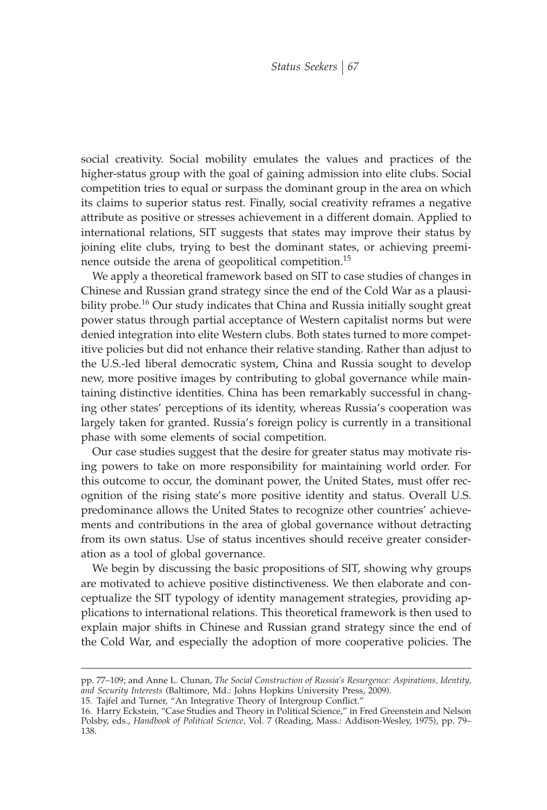Status Seekers 67

social creativity. Social mobility emulates the values and practices of the higher-status group with the goal of gaining admission into elite clubs. Social competition tries to equal or surpass the dominant group in the area on which its claims to superior status rest. Finally, social creativity reframes a negative attribute as positive or stresses achievement in a different domain. Applied to international relations, SIT suggests that states may improve their status by joining elite clubs, trying to best the dominant states, or achieving preeminence outside the arena of geopolitical competition.<sup>15</sup>

We apply a theoretical framework based on SIT to case studies of changes in Chinese and Russian grand strategy since the end of the Cold War as a plausibility probe.<sup>16</sup> Our study indicates that China and Russia initially sought great power status through partial acceptance of Western capitalist norms but were denied integration into elite Western clubs. Both states turned to more competitive policies but did not enhance their relative standing. Rather than adjust to the U.S.-led liberal democratic system, China and Russia sought to develop new, more positive images by contributing to global governance while maintaining distinctive identities. China has been remarkably successful in changing other states' perceptions of its identity, whereas Russia's cooperation was largely taken for granted. Russia's foreign policy is currently in a transitional phase with some elements of social competition.

Our case studies suggest that the desire for greater status may motivate rising powers to take on more responsibility for maintaining world order. For this outcome to occur, the dominant power, the United States, must offer recognition of the rising state's more positive identity and status. Overall U.S. predominance allows the United States to recognize other countries' achievements and contributions in the area of global governance without detracting from its own status. Use of status incentives should receive greater consideration as a tool of global governance.

We begin by discussing the basic propositions of SIT, showing why groups are motivated to achieve positive distinctiveness. We then elaborate and conceptualize the SIT typology of identity management strategies, providing applications to international relations. This theoretical framework is then used to explain major shifts in Chinese and Russian grand strategy since the end of the Cold War, and especially the adoption of more cooperative policies. The

15. Tajfel and Turner, "An Integrative Theory of Intergroup Conflict."

pp. 77–109; and Anne L. Clunan, *The Social Construction of Russia's Resurgence: Aspirations, Identity, and Security Interests* (Baltimore, Md.: Johns Hopkins University Press, 2009).

<sup>16.</sup> Harry Eckstein, "Case Studies and Theory in Political Science," in Fred Greenstein and Nelson Polsby, eds., *Handbook of Political Science,* Vol. 7 (Reading, Mass.: Addison-Wesley, 1975), pp. 79– 138.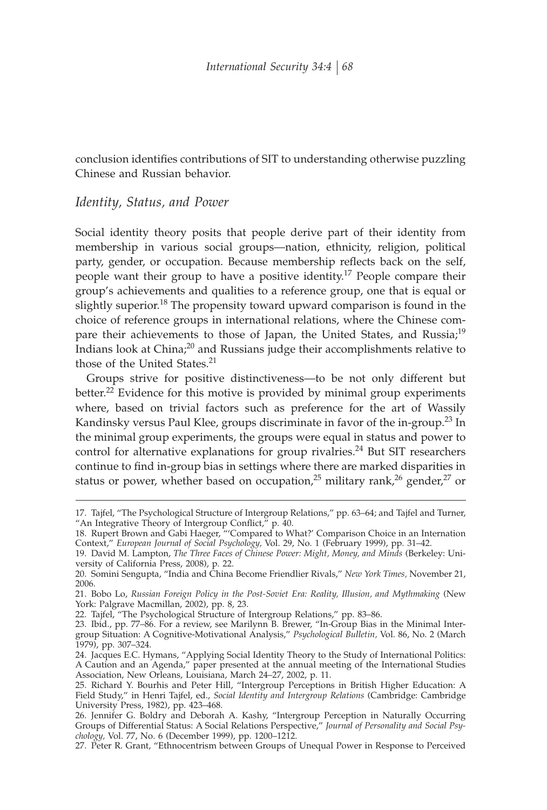conclusion identifies contributions of SIT to understanding otherwise puzzling Chinese and Russian behavior.

## *Identity, Status, and Power*

Social identity theory posits that people derive part of their identity from membership in various social groups—nation, ethnicity, religion, political party, gender, or occupation. Because membership reflects back on the self, people want their group to have a positive identity.<sup>17</sup> People compare their group's achievements and qualities to a reference group, one that is equal or slightly superior.<sup>18</sup> The propensity toward upward comparison is found in the choice of reference groups in international relations, where the Chinese compare their achievements to those of Japan, the United States, and Russia;<sup>19</sup> Indians look at China;<sup>20</sup> and Russians judge their accomplishments relative to those of the United States.<sup>21</sup>

Groups strive for positive distinctiveness—to be not only different but better.<sup>22</sup> Evidence for this motive is provided by minimal group experiments where, based on trivial factors such as preference for the art of Wassily Kandinsky versus Paul Klee, groups discriminate in favor of the in-group.<sup>23</sup> In the minimal group experiments, the groups were equal in status and power to control for alternative explanations for group rivalries.<sup>24</sup> But SIT researchers continue to find in-group bias in settings where there are marked disparities in status or power, whether based on occupation,<sup>25</sup> military rank,<sup>26</sup> gender,<sup>27</sup> or

<sup>17.</sup> Tajfel, "The Psychological Structure of Intergroup Relations," pp. 63–64; and Tajfel and Turner, "An Integrative Theory of Intergroup Conflict," p. 40.

<sup>18.</sup> Rupert Brown and Gabi Haeger, "'Compared to What?' Comparison Choice in an Internation Context," *European Journal of Social Psychology,* Vol. 29, No. 1 (February 1999), pp. 31–42.

<sup>19.</sup> David M. Lampton, *The Three Faces of Chinese Power: Might, Money, and Minds* (Berkeley: University of California Press, 2008), p. 22.

<sup>20.</sup> Somini Sengupta, "India and China Become Friendlier Rivals," *New York Times,* November 21, 2006.

<sup>21.</sup> Bobo Lo, *Russian Foreign Policy in the Post-Soviet Era: Reality, Illusion, and Mythmaking* (New York: Palgrave Macmillan, 2002), pp. 8, 23.

<sup>22.</sup> Tajfel, "The Psychological Structure of Intergroup Relations," pp. 83–86.

<sup>23.</sup> Ibid., pp. 77–86. For a review, see Marilynn B. Brewer, "In-Group Bias in the Minimal Intergroup Situation: A Cognitive-Motivational Analysis," *Psychological Bulletin,* Vol. 86, No. 2 (March 1979), pp. 307–324.

<sup>24.</sup> Jacques E.C. Hymans, "Applying Social Identity Theory to the Study of International Politics: A Caution and an Agenda," paper presented at the annual meeting of the International Studies Association, New Orleans, Louisiana, March 24–27, 2002, p. 11.

<sup>25.</sup> Richard Y. Bourhis and Peter Hill, "Intergroup Perceptions in British Higher Education: A Field Study," in Henri Tajfel, ed., *Social Identity and Intergroup Relations* (Cambridge: Cambridge University Press, 1982), pp. 423–468.

<sup>26.</sup> Jennifer G. Boldry and Deborah A. Kashy, "Intergroup Perception in Naturally Occurring Groups of Differential Status: A Social Relations Perspective," *Journal of Personality and Social Psychology,* Vol. 77, No. 6 (December 1999), pp. 1200–1212.

<sup>27.</sup> Peter R. Grant, "Ethnocentrism between Groups of Unequal Power in Response to Perceived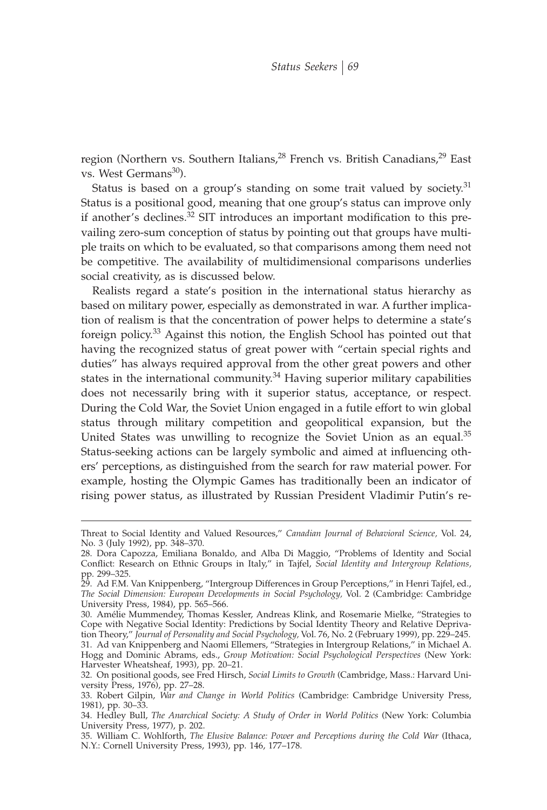region (Northern vs. Southern Italians, $^{28}$  French vs. British Canadians, $^{29}$  East vs. West Germans<sup>30</sup>).

Status is based on a group's standing on some trait valued by society.<sup>31</sup> Status is a positional good, meaning that one group's status can improve only if another's declines.<sup>32</sup> SIT introduces an important modification to this prevailing zero-sum conception of status by pointing out that groups have multiple traits on which to be evaluated, so that comparisons among them need not be competitive. The availability of multidimensional comparisons underlies social creativity, as is discussed below.

Realists regard a state's position in the international status hierarchy as based on military power, especially as demonstrated in war. A further implication of realism is that the concentration of power helps to determine a state's foreign policy.<sup>33</sup> Against this notion, the English School has pointed out that having the recognized status of great power with "certain special rights and duties" has always required approval from the other great powers and other states in the international community.<sup>34</sup> Having superior military capabilities does not necessarily bring with it superior status, acceptance, or respect. During the Cold War, the Soviet Union engaged in a futile effort to win global status through military competition and geopolitical expansion, but the United States was unwilling to recognize the Soviet Union as an equal. $35$ Status-seeking actions can be largely symbolic and aimed at influencing others' perceptions, as distinguished from the search for raw material power. For example, hosting the Olympic Games has traditionally been an indicator of rising power status, as illustrated by Russian President Vladimir Putin's re-

Threat to Social Identity and Valued Resources," *Canadian Journal of Behavioral Science,* Vol. 24, No. 3 (July 1992), pp. 348–370.

<sup>28.</sup> Dora Capozza, Emiliana Bonaldo, and Alba Di Maggio, "Problems of Identity and Social Conflict: Research on Ethnic Groups in Italy," in Tajfel, *Social Identity and Intergroup Relations*, pp. 299–325.

<sup>29.</sup> Ad F.M. Van Knippenberg, "Intergroup Differences in Group Perceptions," in Henri Tajfel, ed., *The Social Dimension: European Developments in Social Psychology,* Vol. 2 (Cambridge: Cambridge University Press, 1984), pp. 565–566.

<sup>30.</sup> Amélie Mummendey, Thomas Kessler, Andreas Klink, and Rosemarie Mielke, "Strategies to Cope with Negative Social Identity: Predictions by Social Identity Theory and Relative Deprivation Theory," *Journal of Personality and Social Psychology,* Vol. 76, No. 2 (February 1999), pp. 229–245. 31. Ad van Knippenberg and Naomi Ellemers, "Strategies in Intergroup Relations," in Michael A. Hogg and Dominic Abrams, eds., *Group Motivation: Social Psychological Perspectives* (New York: Harvester Wheatsheaf, 1993), pp. 20–21.

<sup>32.</sup> On positional goods, see Fred Hirsch, *Social Limits to Growth* (Cambridge, Mass.: Harvard University Press, 1976), pp. 27–28.

<sup>33.</sup> Robert Gilpin, *War and Change in World Politics* (Cambridge: Cambridge University Press, 1981), pp. 30–33.

<sup>34.</sup> Hedley Bull, *The Anarchical Society: A Study of Order in World Politics* (New York: Columbia University Press, 1977), p. 202.

<sup>35.</sup> William C. Wohlforth, *The Elusive Balance: Power and Perceptions during the Cold War* (Ithaca, N.Y.: Cornell University Press, 1993), pp. 146, 177–178.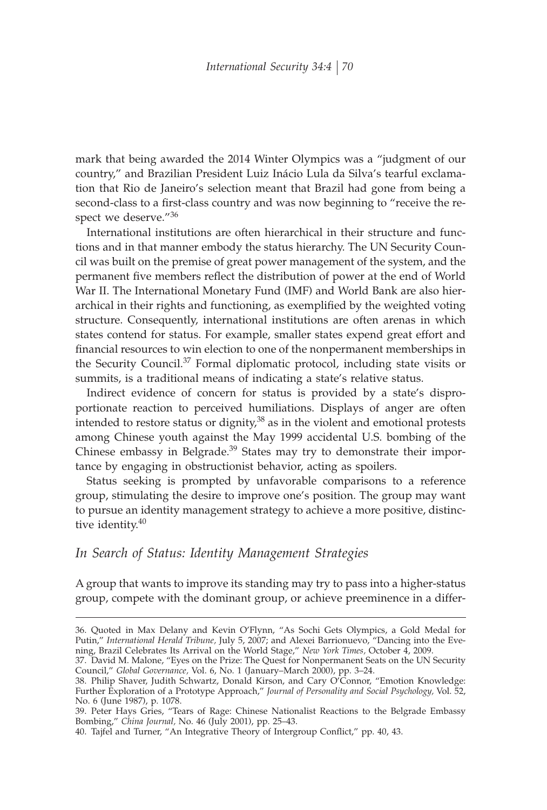mark that being awarded the 2014 Winter Olympics was a "judgment of our country," and Brazilian President Luiz Inácio Lula da Silva's tearful exclamation that Rio de Janeiro's selection meant that Brazil had gone from being a second-class to a first-class country and was now beginning to "receive the respect we deserve."<sup>36</sup>

International institutions are often hierarchical in their structure and functions and in that manner embody the status hierarchy. The UN Security Council was built on the premise of great power management of the system, and the permanent five members reflect the distribution of power at the end of World War II. The International Monetary Fund (IMF) and World Bank are also hierarchical in their rights and functioning, as exemplified by the weighted voting structure. Consequently, international institutions are often arenas in which states contend for status. For example, smaller states expend great effort and financial resources to win election to one of the nonpermanent memberships in the Security Council.<sup>37</sup> Formal diplomatic protocol, including state visits or summits, is a traditional means of indicating a state's relative status.

Indirect evidence of concern for status is provided by a state's disproportionate reaction to perceived humiliations. Displays of anger are often intended to restore status or dignity, $38$  as in the violent and emotional protests among Chinese youth against the May 1999 accidental U.S. bombing of the Chinese embassy in Belgrade.<sup>39</sup> States may try to demonstrate their importance by engaging in obstructionist behavior, acting as spoilers.

Status seeking is prompted by unfavorable comparisons to a reference group, stimulating the desire to improve one's position. The group may want to pursue an identity management strategy to achieve a more positive, distinctive identity.<sup>40</sup>

# *In Search of Status: Identity Management Strategies*

A group that wants to improve its standing may try to pass into a higher-status group, compete with the dominant group, or achieve preeminence in a differ-

<sup>36.</sup> Quoted in Max Delany and Kevin O'Flynn, "As Sochi Gets Olympics, a Gold Medal for Putin," *International Herald Tribune,* July 5, 2007; and Alexei Barrionuevo, "Dancing into the Evening, Brazil Celebrates Its Arrival on the World Stage," *New York Times,* October 4, 2009.

<sup>37.</sup> David M. Malone, "Eyes on the Prize: The Quest for Nonpermanent Seats on the UN Security Council," *Global Governance,* Vol. 6, No. 1 (January–March 2000), pp. 3–24.

<sup>38.</sup> Philip Shaver, Judith Schwartz, Donald Kirson, and Cary O'Connor, "Emotion Knowledge: Further Exploration of a Prototype Approach," *Journal of Personality and Social Psychology,* Vol. 52, No. 6 (June 1987), p. 1078.

<sup>39.</sup> Peter Hays Gries, "Tears of Rage: Chinese Nationalist Reactions to the Belgrade Embassy Bombing," *China Journal,* No. 46 (July 2001), pp. 25–43.

<sup>40.</sup> Tajfel and Turner, "An Integrative Theory of Intergroup Conflict," pp. 40, 43.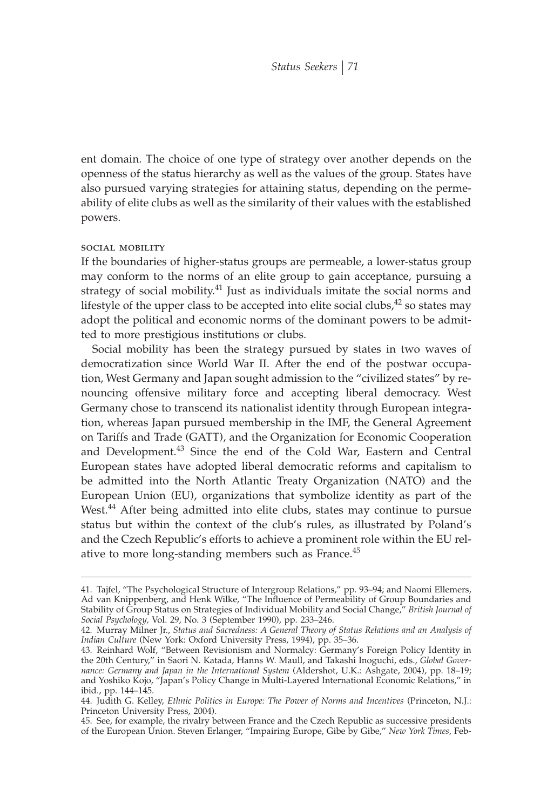ent domain. The choice of one type of strategy over another depends on the openness of the status hierarchy as well as the values of the group. States have also pursued varying strategies for attaining status, depending on the permeability of elite clubs as well as the similarity of their values with the established powers.

## social mobility

If the boundaries of higher-status groups are permeable, a lower-status group may conform to the norms of an elite group to gain acceptance, pursuing a strategy of social mobility.<sup>41</sup> Just as individuals imitate the social norms and lifestyle of the upper class to be accepted into elite social clubs, $42$  so states may adopt the political and economic norms of the dominant powers to be admitted to more prestigious institutions or clubs.

Social mobility has been the strategy pursued by states in two waves of democratization since World War II. After the end of the postwar occupation, West Germany and Japan sought admission to the "civilized states" by renouncing offensive military force and accepting liberal democracy. West Germany chose to transcend its nationalist identity through European integration, whereas Japan pursued membership in the IMF, the General Agreement on Tariffs and Trade (GATT), and the Organization for Economic Cooperation and Development.<sup>43</sup> Since the end of the Cold War, Eastern and Central European states have adopted liberal democratic reforms and capitalism to be admitted into the North Atlantic Treaty Organization (NATO) and the European Union (EU), organizations that symbolize identity as part of the West.<sup>44</sup> After being admitted into elite clubs, states may continue to pursue status but within the context of the club's rules, as illustrated by Poland's and the Czech Republic's efforts to achieve a prominent role within the EU relative to more long-standing members such as France.<sup>45</sup>

<sup>41.</sup> Tajfel, "The Psychological Structure of Intergroup Relations," pp. 93–94; and Naomi Ellemers, Ad van Knippenberg, and Henk Wilke, "The Influence of Permeability of Group Boundaries and Stability of Group Status on Strategies of Individual Mobility and Social Change," *British Journal of Social Psychology,* Vol. 29, No. 3 (September 1990), pp. 233–246.

<sup>42.</sup> Murray Milner Jr., *Status and Sacredness: A General Theory of Status Relations and an Analysis of Indian Culture* (New York: Oxford University Press, 1994), pp. 35–36.

<sup>43.</sup> Reinhard Wolf, "Between Revisionism and Normalcy: Germany's Foreign Policy Identity in the 20th Century," in Saori N. Katada, Hanns W. Maull, and Takashi Inoguchi, eds., *Global Governance: Germany and Japan in the International System* (Aldershot, U.K.: Ashgate, 2004), pp. 18–19; and Yoshiko Kojo, "Japan's Policy Change in Multi-Layered International Economic Relations," in ibid., pp. 144–145.

<sup>44.</sup> Judith G. Kelley, *Ethnic Politics in Europe: The Power of Norms and Incentives* (Princeton, N.J.: Princeton University Press, 2004).

<sup>45.</sup> See, for example, the rivalry between France and the Czech Republic as successive presidents of the European Union. Steven Erlanger, "Impairing Europe, Gibe by Gibe," *New York Times,* Feb-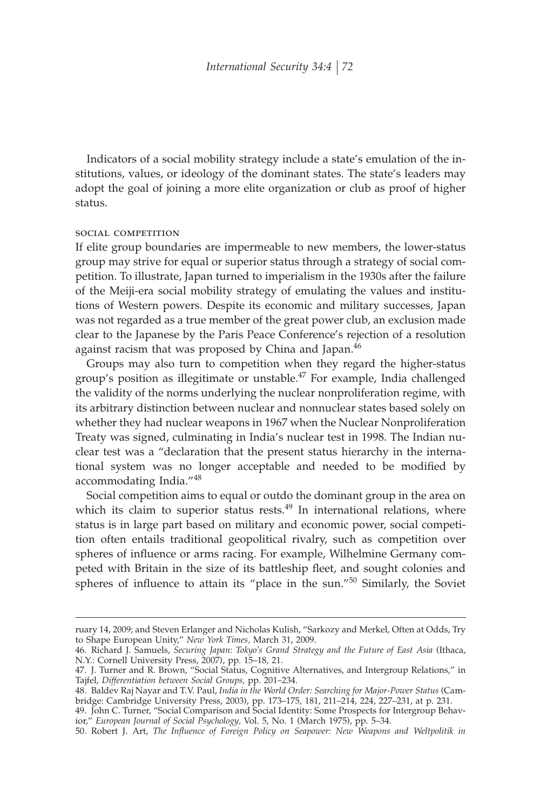Indicators of a social mobility strategy include a state's emulation of the institutions, values, or ideology of the dominant states. The state's leaders may adopt the goal of joining a more elite organization or club as proof of higher status.

#### social competition

If elite group boundaries are impermeable to new members, the lower-status group may strive for equal or superior status through a strategy of social competition. To illustrate, Japan turned to imperialism in the 1930s after the failure of the Meiji-era social mobility strategy of emulating the values and institutions of Western powers. Despite its economic and military successes, Japan was not regarded as a true member of the great power club, an exclusion made clear to the Japanese by the Paris Peace Conference's rejection of a resolution against racism that was proposed by China and Japan.<sup>46</sup>

Groups may also turn to competition when they regard the higher-status group's position as illegitimate or unstable.<sup>47</sup> For example, India challenged the validity of the norms underlying the nuclear nonproliferation regime, with its arbitrary distinction between nuclear and nonnuclear states based solely on whether they had nuclear weapons in 1967 when the Nuclear Nonproliferation Treaty was signed, culminating in India's nuclear test in 1998. The Indian nuclear test was a "declaration that the present status hierarchy in the international system was no longer acceptable and needed to be modified by accommodating India."<sup>48</sup>

Social competition aims to equal or outdo the dominant group in the area on which its claim to superior status rests.<sup>49</sup> In international relations, where status is in large part based on military and economic power, social competition often entails traditional geopolitical rivalry, such as competition over spheres of influence or arms racing. For example, Wilhelmine Germany competed with Britain in the size of its battleship fleet, and sought colonies and spheres of influence to attain its "place in the sun." $50$  Similarly, the Soviet

ruary 14, 2009; and Steven Erlanger and Nicholas Kulish, "Sarkozy and Merkel, Often at Odds, Try to Shape European Unity," *New York Times,* March 31, 2009.

<sup>46.</sup> Richard J. Samuels, *Securing Japan: Tokyo's Grand Strategy and the Future of East Asia* (Ithaca, N.Y.: Cornell University Press, 2007), pp. 15–18, 21.

<sup>47.</sup> J. Turner and R. Brown, "Social Status, Cognitive Alternatives, and Intergroup Relations," in Tajfel, *Differentiation between Social Groups,* pp. 201–234.

<sup>48.</sup> Baldev Raj Nayar and T.V. Paul, *India in the World Order: Searching for Major-Power Status* (Cambridge: Cambridge University Press, 2003), pp. 173–175, 181, 211–214, 224, 227–231, at p. 231.

<sup>49.</sup> John C. Turner, "Social Comparison and Social Identity: Some Prospects for Intergroup Behavior," *European Journal of Social Psychology,* Vol. 5, No. 1 (March 1975), pp. 5–34.

<sup>50.</sup> Robert J. Art, *The Inºuence of Foreign Policy on Seapower: New Weapons and Weltpolitik in*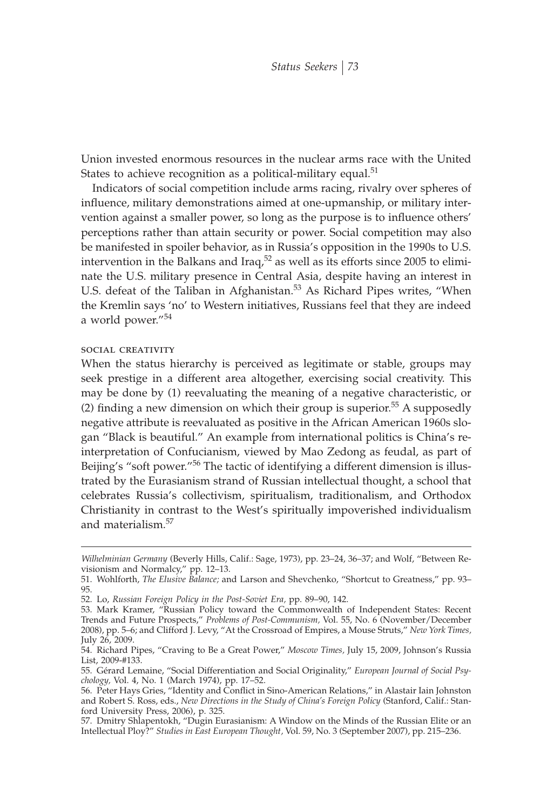Union invested enormous resources in the nuclear arms race with the United States to achieve recognition as a political-military equal.<sup>51</sup>

Indicators of social competition include arms racing, rivalry over spheres of influence, military demonstrations aimed at one-upmanship, or military intervention against a smaller power, so long as the purpose is to influence others' perceptions rather than attain security or power. Social competition may also be manifested in spoiler behavior, as in Russia's opposition in the 1990s to U.S. intervention in the Balkans and Iraq, $52$  as well as its efforts since 2005 to eliminate the U.S. military presence in Central Asia, despite having an interest in U.S. defeat of the Taliban in Afghanistan.<sup>53</sup> As Richard Pipes writes, "When the Kremlin says 'no' to Western initiatives, Russians feel that they are indeed a world power."54

## social creativity

When the status hierarchy is perceived as legitimate or stable, groups may seek prestige in a different area altogether, exercising social creativity. This may be done by (1) reevaluating the meaning of a negative characteristic, or (2) finding a new dimension on which their group is superior.<sup>55</sup> A supposedly negative attribute is reevaluated as positive in the African American 1960s slogan "Black is beautiful." An example from international politics is China's reinterpretation of Confucianism, viewed by Mao Zedong as feudal, as part of Beijing's "soft power."<sup>56</sup> The tactic of identifying a different dimension is illustrated by the Eurasianism strand of Russian intellectual thought, a school that celebrates Russia's collectivism, spiritualism, traditionalism, and Orthodox Christianity in contrast to the West's spiritually impoverished individualism and materialism.<sup>57</sup>

*Wilhelminian Germany* (Beverly Hills, Calif.: Sage, 1973), pp. 23–24, 36–37; and Wolf, "Between Revisionism and Normalcy," pp. 12–13.

<sup>51.</sup> Wohlforth, *The Elusive Balance;* and Larson and Shevchenko, "Shortcut to Greatness," pp. 93– 95.

<sup>52.</sup> Lo, *Russian Foreign Policy in the Post-Soviet Era,* pp. 89–90, 142.

<sup>53.</sup> Mark Kramer, "Russian Policy toward the Commonwealth of Independent States: Recent Trends and Future Prospects," *Problems of Post-Communism,* Vol. 55, No. 6 (November/December 2008), pp. 5–6; and Clifford J. Levy, "At the Crossroad of Empires, a Mouse Struts," *New York Times,* July 26, 2009.

<sup>54.</sup> Richard Pipes, "Craving to Be a Great Power," *Moscow Times,* July 15, 2009, Johnson's Russia List, 2009-#133.

<sup>55.</sup> Gérard Lemaine, "Social Differentiation and Social Originality," *European Journal of Social Psychology,* Vol. 4, No. 1 (March 1974), pp. 17–52.

<sup>56.</sup> Peter Hays Gries, "Identity and Conflict in Sino-American Relations," in Alastair Iain Johnston and Robert S. Ross, eds., *New Directions in the Study of China's Foreign Policy* (Stanford, Calif.: Stanford University Press, 2006), p. 325.

<sup>57.</sup> Dmitry Shlapentokh, "Dugin Eurasianism: A Window on the Minds of the Russian Elite or an Intellectual Ploy?" *Studies in East European Thought,* Vol. 59, No. 3 (September 2007), pp. 215–236.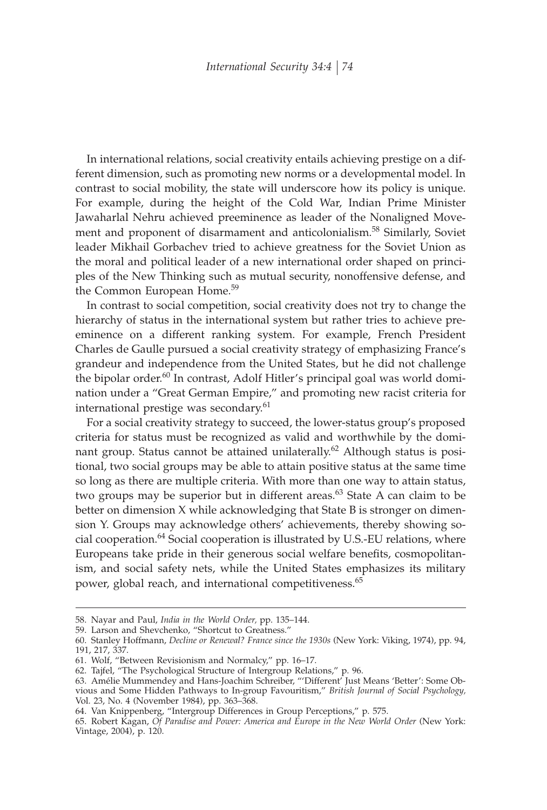In international relations, social creativity entails achieving prestige on a different dimension, such as promoting new norms or a developmental model. In contrast to social mobility, the state will underscore how its policy is unique. For example, during the height of the Cold War, Indian Prime Minister Jawaharlal Nehru achieved preeminence as leader of the Nonaligned Movement and proponent of disarmament and anticolonialism.<sup>58</sup> Similarly, Soviet leader Mikhail Gorbachev tried to achieve greatness for the Soviet Union as the moral and political leader of a new international order shaped on principles of the New Thinking such as mutual security, nonoffensive defense, and the Common European Home.<sup>59</sup>

In contrast to social competition, social creativity does not try to change the hierarchy of status in the international system but rather tries to achieve preeminence on a different ranking system. For example, French President Charles de Gaulle pursued a social creativity strategy of emphasizing France's grandeur and independence from the United States, but he did not challenge the bipolar order.<sup>60</sup> In contrast, Adolf Hitler's principal goal was world domination under a "Great German Empire," and promoting new racist criteria for international prestige was secondary.<sup>61</sup>

For a social creativity strategy to succeed, the lower-status group's proposed criteria for status must be recognized as valid and worthwhile by the dominant group. Status cannot be attained unilaterally.<sup>62</sup> Although status is positional, two social groups may be able to attain positive status at the same time so long as there are multiple criteria. With more than one way to attain status, two groups may be superior but in different areas. $63$  State A can claim to be better on dimension X while acknowledging that State B is stronger on dimension Y. Groups may acknowledge others' achievements, thereby showing social cooperation.<sup>64</sup> Social cooperation is illustrated by U.S.-EU relations, where Europeans take pride in their generous social welfare benefits, cosmopolitanism, and social safety nets, while the United States emphasizes its military power, global reach, and international competitiveness.<sup>65</sup>

<sup>58.</sup> Nayar and Paul, *India in the World Order,* pp. 135–144.

<sup>59.</sup> Larson and Shevchenko, "Shortcut to Greatness."

<sup>60.</sup> Stanley Hoffmann, *Decline or Renewal? France since the 1930s* (New York: Viking, 1974), pp. 94, 191, 217, 337.

<sup>61.</sup> Wolf, "Between Revisionism and Normalcy," pp. 16–17.

<sup>62.</sup> Tajfel, "The Psychological Structure of Intergroup Relations," p. 96.

<sup>63.</sup> Amélie Mummendey and Hans-Joachim Schreiber, "'Different' Just Means 'Better': Some Obvious and Some Hidden Pathways to In-group Favouritism," *British Journal of Social Psychology,* Vol. 23, No. 4 (November 1984), pp. 363–368.

<sup>64.</sup> Van Knippenberg, "Intergroup Differences in Group Perceptions," p. 575.

<sup>65.</sup> Robert Kagan, *Of Paradise and Power: America and Europe in the New World Order* (New York: Vintage, 2004), p. 120.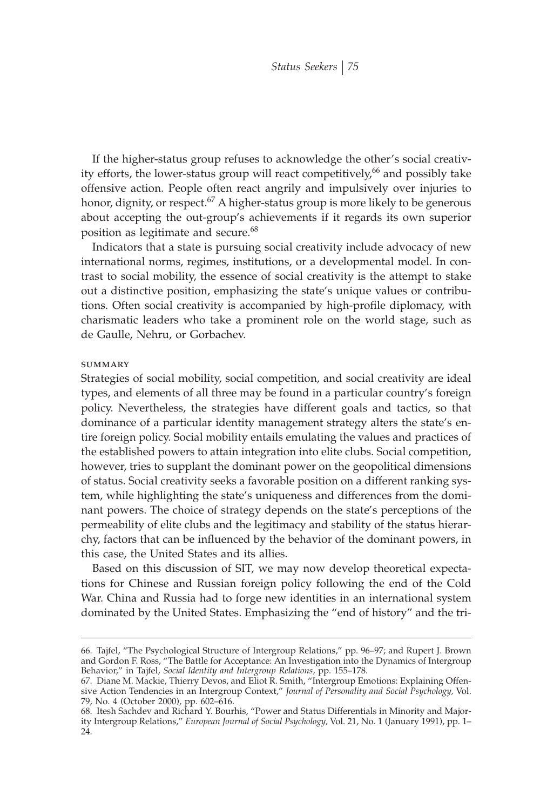If the higher-status group refuses to acknowledge the other's social creativity efforts, the lower-status group will react competitively,<sup>66</sup> and possibly take offensive action. People often react angrily and impulsively over injuries to honor, dignity, or respect.<sup>67</sup> A higher-status group is more likely to be generous about accepting the out-group's achievements if it regards its own superior position as legitimate and secure.<sup>68</sup>

Indicators that a state is pursuing social creativity include advocacy of new international norms, regimes, institutions, or a developmental model. In contrast to social mobility, the essence of social creativity is the attempt to stake out a distinctive position, emphasizing the state's unique values or contributions. Often social creativity is accompanied by high-profile diplomacy, with charismatic leaders who take a prominent role on the world stage, such as de Gaulle, Nehru, or Gorbachev.

#### **SUMMARY**

Strategies of social mobility, social competition, and social creativity are ideal types, and elements of all three may be found in a particular country's foreign policy. Nevertheless, the strategies have different goals and tactics, so that dominance of a particular identity management strategy alters the state's entire foreign policy. Social mobility entails emulating the values and practices of the established powers to attain integration into elite clubs. Social competition, however, tries to supplant the dominant power on the geopolitical dimensions of status. Social creativity seeks a favorable position on a different ranking system, while highlighting the state's uniqueness and differences from the dominant powers. The choice of strategy depends on the state's perceptions of the permeability of elite clubs and the legitimacy and stability of the status hierarchy, factors that can be influenced by the behavior of the dominant powers, in this case, the United States and its allies.

Based on this discussion of SIT, we may now develop theoretical expectations for Chinese and Russian foreign policy following the end of the Cold War. China and Russia had to forge new identities in an international system dominated by the United States. Emphasizing the "end of history" and the tri-

<sup>66.</sup> Tajfel, "The Psychological Structure of Intergroup Relations," pp. 96–97; and Rupert J. Brown and Gordon F. Ross, "The Battle for Acceptance: An Investigation into the Dynamics of Intergroup Behavior," in Tajfel, *Social Identity and Intergroup Relations,* pp. 155–178.

<sup>67.</sup> Diane M. Mackie, Thierry Devos, and Eliot R. Smith, "Intergroup Emotions: Explaining Offensive Action Tendencies in an Intergroup Context," *Journal of Personality and Social Psychology,* Vol. 79, No. 4 (October 2000), pp. 602–616.

<sup>68.</sup> Itesh Sachdev and Richard Y. Bourhis, "Power and Status Differentials in Minority and Majority Intergroup Relations," *European Journal of Social Psychology,* Vol. 21, No. 1 (January 1991), pp. 1– 24.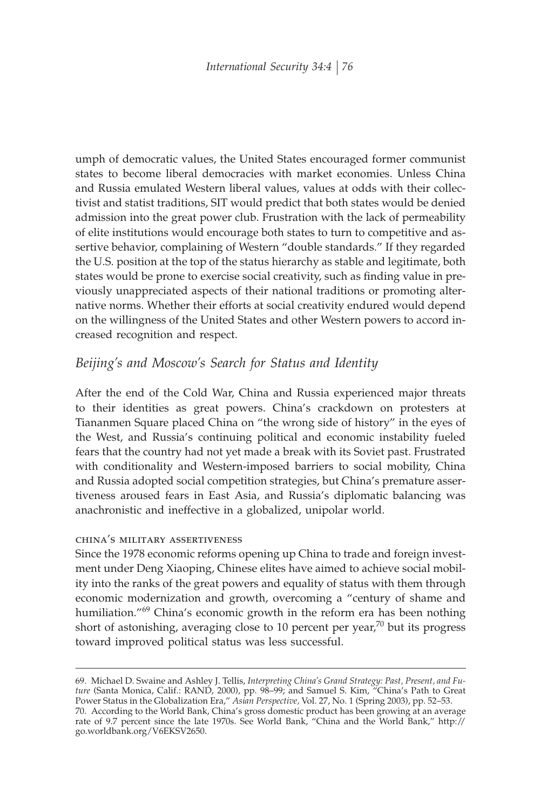umph of democratic values, the United States encouraged former communist states to become liberal democracies with market economies. Unless China and Russia emulated Western liberal values, values at odds with their collectivist and statist traditions, SIT would predict that both states would be denied admission into the great power club. Frustration with the lack of permeability of elite institutions would encourage both states to turn to competitive and assertive behavior, complaining of Western "double standards." If they regarded the U.S. position at the top of the status hierarchy as stable and legitimate, both states would be prone to exercise social creativity, such as finding value in previously unappreciated aspects of their national traditions or promoting alternative norms. Whether their efforts at social creativity endured would depend on the willingness of the United States and other Western powers to accord increased recognition and respect.

# *Beijing's and Moscow's Search for Status and Identity*

After the end of the Cold War, China and Russia experienced major threats to their identities as great powers. China's crackdown on protesters at Tiananmen Square placed China on "the wrong side of history" in the eyes of the West, and Russia's continuing political and economic instability fueled fears that the country had not yet made a break with its Soviet past. Frustrated with conditionality and Western-imposed barriers to social mobility, China and Russia adopted social competition strategies, but China's premature assertiveness aroused fears in East Asia, and Russia's diplomatic balancing was anachronistic and ineffective in a globalized, unipolar world.

### china's military assertiveness

Since the 1978 economic reforms opening up China to trade and foreign investment under Deng Xiaoping, Chinese elites have aimed to achieve social mobility into the ranks of the great powers and equality of status with them through economic modernization and growth, overcoming a "century of shame and humiliation."<sup>69</sup> China's economic growth in the reform era has been nothing short of astonishing, averaging close to 10 percent per year, $70$  but its progress toward improved political status was less successful.

<sup>69.</sup> Michael D. Swaine and Ashley J. Tellis, *Interpreting China's Grand Strategy: Past, Present, and Future* (Santa Monica, Calif.: RAND, 2000), pp. 98–99; and Samuel S. Kim, "China's Path to Great Power Status in the Globalization Era," *Asian Perspective,* Vol. 27, No. 1 (Spring 2003), pp. 52–53. 70. According to the World Bank, China's gross domestic product has been growing at an average rate of 9.7 percent since the late 1970s. See World Bank, "China and the World Bank," http:// go.worldbank.org/V6EKSV2650.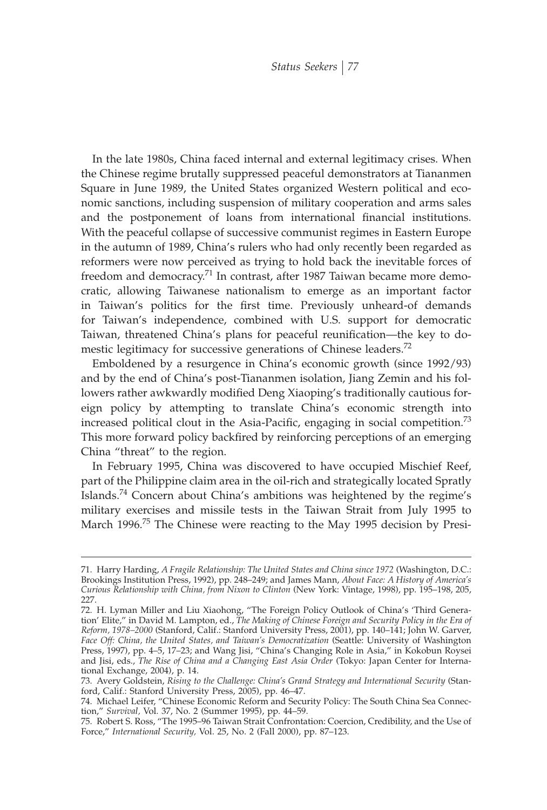*Status Seekers 77*

In the late 1980s, China faced internal and external legitimacy crises. When the Chinese regime brutally suppressed peaceful demonstrators at Tiananmen Square in June 1989, the United States organized Western political and economic sanctions, including suspension of military cooperation and arms sales and the postponement of loans from international financial institutions. With the peaceful collapse of successive communist regimes in Eastern Europe in the autumn of 1989, China's rulers who had only recently been regarded as reformers were now perceived as trying to hold back the inevitable forces of freedom and democracy.<sup>71</sup> In contrast, after 1987 Taiwan became more democratic, allowing Taiwanese nationalism to emerge as an important factor in Taiwan's politics for the first time. Previously unheard-of demands for Taiwan's independence, combined with U.S. support for democratic Taiwan, threatened China's plans for peaceful reunification—the key to domestic legitimacy for successive generations of Chinese leaders.<sup>72</sup>

Emboldened by a resurgence in China's economic growth (since 1992/93) and by the end of China's post-Tiananmen isolation, Jiang Zemin and his followers rather awkwardly modified Deng Xiaoping's traditionally cautious foreign policy by attempting to translate China's economic strength into increased political clout in the Asia-Pacific, engaging in social competition.<sup>73</sup> This more forward policy backfired by reinforcing perceptions of an emerging China "threat" to the region.

In February 1995, China was discovered to have occupied Mischief Reef, part of the Philippine claim area in the oil-rich and strategically located Spratly Islands.<sup>74</sup> Concern about China's ambitions was heightened by the regime's military exercises and missile tests in the Taiwan Strait from July 1995 to March 1996.<sup>75</sup> The Chinese were reacting to the May 1995 decision by Presi-

<sup>71.</sup> Harry Harding, *A Fragile Relationship: The United States and China since 1972* (Washington, D.C.: Brookings Institution Press, 1992), pp. 248–249; and James Mann, *About Face: A History of America's Curious Relationship with China, from Nixon to Clinton* (New York: Vintage, 1998), pp. 195–198, 205, 227.

<sup>72.</sup> H. Lyman Miller and Liu Xiaohong, "The Foreign Policy Outlook of China's 'Third Generation' Elite," in David M. Lampton, ed., *The Making of Chinese Foreign and Security Policy in the Era of Reform, 1978–2000* (Stanford, Calif.: Stanford University Press, 2001), pp. 140–141; John W. Garver, *Face Off: China, the United States, and Taiwan's Democratization* (Seattle: University of Washington Press, 1997), pp. 4–5, 17–23; and Wang Jisi, "China's Changing Role in Asia," in Kokobun Roysei and Jisi, eds., *The Rise of China and a Changing East Asia Order* (Tokyo: Japan Center for International Exchange, 2004), p. 14.

<sup>73.</sup> Avery Goldstein, *Rising to the Challenge: China's Grand Strategy and International Security* (Stanford, Calif.: Stanford University Press, 2005), pp. 46–47.

<sup>74.</sup> Michael Leifer, "Chinese Economic Reform and Security Policy: The South China Sea Connection," *Survival,* Vol. 37, No. 2 (Summer 1995), pp. 44–59.

<sup>75.</sup> Robert S. Ross, "The 1995–96 Taiwan Strait Confrontation: Coercion, Credibility, and the Use of Force," *International Security,* Vol. 25, No. 2 (Fall 2000), pp. 87–123.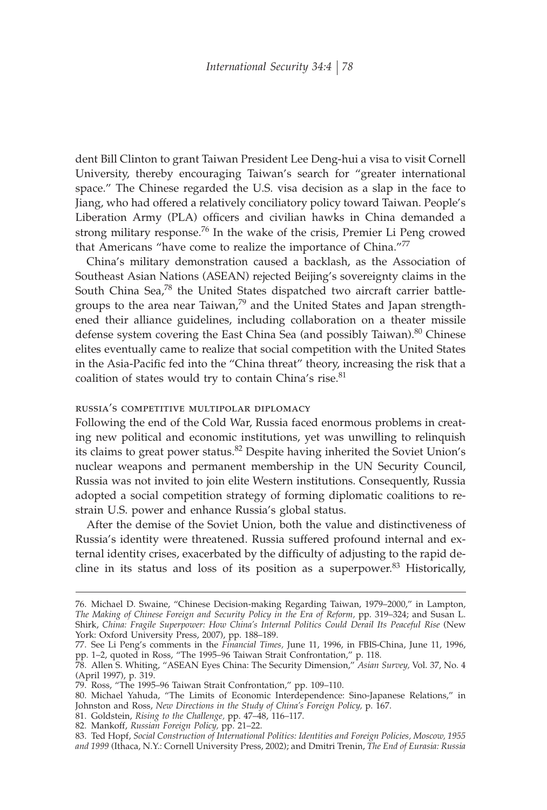dent Bill Clinton to grant Taiwan President Lee Deng-hui a visa to visit Cornell University, thereby encouraging Taiwan's search for "greater international space." The Chinese regarded the U.S. visa decision as a slap in the face to Jiang, who had offered a relatively conciliatory policy toward Taiwan. People's Liberation Army (PLA) officers and civilian hawks in China demanded a strong military response.<sup>76</sup> In the wake of the crisis, Premier Li Peng crowed that Americans "have come to realize the importance of China."<sup>77</sup>

China's military demonstration caused a backlash, as the Association of Southeast Asian Nations (ASEAN) rejected Beijing's sovereignty claims in the South China Sea,<sup>78</sup> the United States dispatched two aircraft carrier battlegroups to the area near Taiwan,<sup>79</sup> and the United States and Japan strengthened their alliance guidelines, including collaboration on a theater missile defense system covering the East China Sea (and possibly Taiwan).<sup>80</sup> Chinese elites eventually came to realize that social competition with the United States in the Asia-Pacific fed into the "China threat" theory, increasing the risk that a coalition of states would try to contain China's rise.<sup>81</sup>

## russia's competitive multipolar diplomacy

Following the end of the Cold War, Russia faced enormous problems in creating new political and economic institutions, yet was unwilling to relinquish its claims to great power status.<sup>82</sup> Despite having inherited the Soviet Union's nuclear weapons and permanent membership in the UN Security Council, Russia was not invited to join elite Western institutions. Consequently, Russia adopted a social competition strategy of forming diplomatic coalitions to restrain U.S. power and enhance Russia's global status.

After the demise of the Soviet Union, both the value and distinctiveness of Russia's identity were threatened. Russia suffered profound internal and external identity crises, exacerbated by the difficulty of adjusting to the rapid decline in its status and loss of its position as a superpower.<sup>83</sup> Historically,

82. Mankoff, *Russian Foreign Policy,* pp. 21–22.

<sup>76.</sup> Michael D. Swaine, "Chinese Decision-making Regarding Taiwan, 1979–2000," in Lampton, *The Making of Chinese Foreign and Security Policy in the Era of Reform,* pp. 319–324; and Susan L. Shirk, *China: Fragile Superpower: How China's Internal Politics Could Derail Its Peaceful Rise* (New York: Oxford University Press, 2007), pp. 188–189.

<sup>77.</sup> See Li Peng's comments in the *Financial Times,* June 11, 1996, in FBIS-China, June 11, 1996, pp. 1–2, quoted in Ross, "The 1995–96 Taiwan Strait Confrontation," p. 118.

<sup>78.</sup> Allen S. Whiting, "ASEAN Eyes China: The Security Dimension," *Asian Survey,* Vol. 37, No. 4 (April 1997), p. 319.

<sup>79.</sup> Ross, "The 1995–96 Taiwan Strait Confrontation," pp. 109–110.

<sup>80.</sup> Michael Yahuda, "The Limits of Economic Interdependence: Sino-Japanese Relations," in Johnston and Ross, *New Directions in the Study of China's Foreign Policy,* p. 167.

<sup>81.</sup> Goldstein, *Rising to the Challenge,* pp. 47–48, 116–117.

<sup>83.</sup> Ted Hopf, *Social Construction of International Politics: Identities and Foreign Policies, Moscow, 1955 and 1999* (Ithaca, N.Y.: Cornell University Press, 2002); and Dmitri Trenin, *The End of Eurasia: Russia*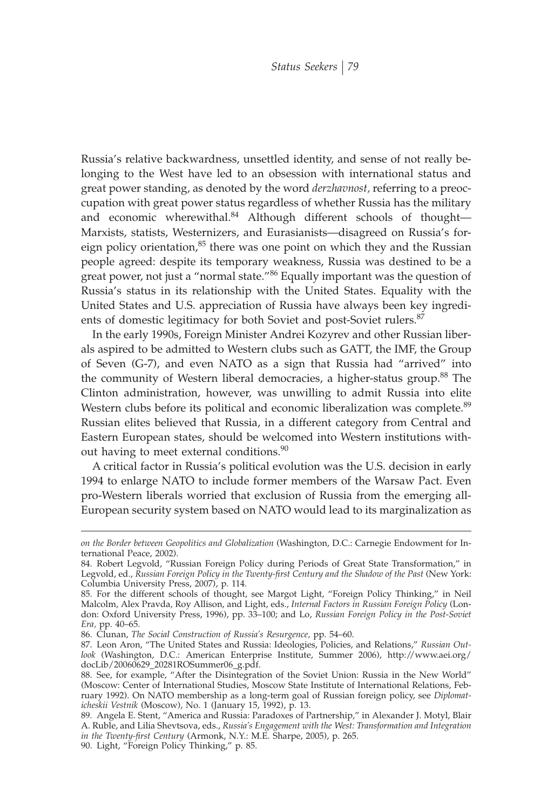Russia's relative backwardness, unsettled identity, and sense of not really belonging to the West have led to an obsession with international status and great power standing, as denoted by the word *derzhavnost,* referring to a preoccupation with great power status regardless of whether Russia has the military and economic wherewithal. $84$  Although different schools of thought-Marxists, statists, Westernizers, and Eurasianists—disagreed on Russia's foreign policy orientation, $85$  there was one point on which they and the Russian people agreed: despite its temporary weakness, Russia was destined to be a great power, not just a "normal state."<sup>86</sup> Equally important was the question of Russia's status in its relationship with the United States. Equality with the United States and U.S. appreciation of Russia have always been key ingredients of domestic legitimacy for both Soviet and post-Soviet rulers.<sup>87</sup>

In the early 1990s, Foreign Minister Andrei Kozyrev and other Russian liberals aspired to be admitted to Western clubs such as GATT, the IMF, the Group of Seven (G-7), and even NATO as a sign that Russia had "arrived" into the community of Western liberal democracies, a higher-status group.<sup>88</sup> The Clinton administration, however, was unwilling to admit Russia into elite Western clubs before its political and economic liberalization was complete.<sup>89</sup> Russian elites believed that Russia, in a different category from Central and Eastern European states, should be welcomed into Western institutions without having to meet external conditions.<sup>90</sup>

A critical factor in Russia's political evolution was the U.S. decision in early 1994 to enlarge NATO to include former members of the Warsaw Pact. Even pro-Western liberals worried that exclusion of Russia from the emerging all-European security system based on NATO would lead to its marginalization as

*on the Border between Geopolitics and Globalization* (Washington, D.C.: Carnegie Endowment for International Peace, 2002).

<sup>84.</sup> Robert Legvold, "Russian Foreign Policy during Periods of Great State Transformation," in Legvold, ed., *Russian Foreign Policy in the Twenty-first Century and the Shadow of the Past* (New York: Columbia University Press, 2007), p. 114.

<sup>85.</sup> For the different schools of thought, see Margot Light, "Foreign Policy Thinking," in Neil Malcolm, Alex Pravda, Roy Allison, and Light, eds., *Internal Factors in Russian Foreign Policy* (London: Oxford University Press, 1996), pp. 33–100; and Lo, *Russian Foreign Policy in the Post-Soviet Era,* pp. 40–65.

<sup>86.</sup> Clunan, *The Social Construction of Russia's Resurgence,* pp. 54–60.

<sup>87.</sup> Leon Aron, "The United States and Russia: Ideologies, Policies, and Relations," *Russian Outlook* (Washington, D.C.: American Enterprise Institute, Summer 2006), http://www.aei.org/ docLib/20060629\_20281ROSummer06\_g.pdf.

<sup>88.</sup> See, for example, "After the Disintegration of the Soviet Union: Russia in the New World" (Moscow: Center of International Studies, Moscow State Institute of International Relations, February 1992). On NATO membership as a long-term goal of Russian foreign policy, see *Diplomaticheskii Vestnik* (Moscow), No. 1 (January 15, 1992), p. 13.

<sup>89.</sup> Angela E. Stent, "America and Russia: Paradoxes of Partnership," in Alexander J. Motyl, Blair A. Ruble, and Lilia Shevtsova, eds., *Russia's Engagement with the West: Transformation and Integration in the Twenty-first Century* (Armonk, N.Y.: M.E. Sharpe, 2005), p. 265.

<sup>90.</sup> Light, "Foreign Policy Thinking," p. 85.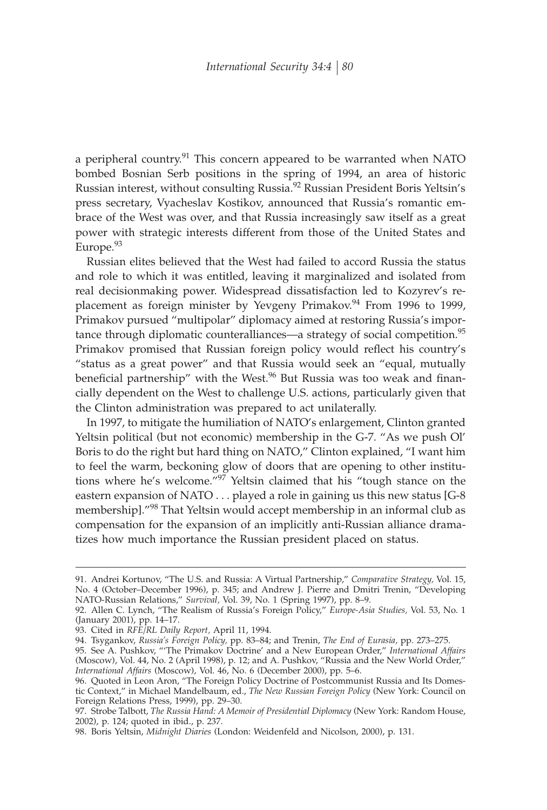a peripheral country.<sup>91</sup> This concern appeared to be warranted when NATO bombed Bosnian Serb positions in the spring of 1994, an area of historic Russian interest, without consulting Russia.<sup>92</sup> Russian President Boris Yeltsin's press secretary, Vyacheslav Kostikov, announced that Russia's romantic embrace of the West was over, and that Russia increasingly saw itself as a great power with strategic interests different from those of the United States and Europe.<sup>93</sup>

Russian elites believed that the West had failed to accord Russia the status and role to which it was entitled, leaving it marginalized and isolated from real decisionmaking power. Widespread dissatisfaction led to Kozyrev's replacement as foreign minister by Yevgeny Primakov.<sup>94</sup> From 1996 to 1999, Primakov pursued "multipolar" diplomacy aimed at restoring Russia's importance through diplomatic counteralliances—a strategy of social competition.<sup>95</sup> Primakov promised that Russian foreign policy would reflect his country's "status as a great power" and that Russia would seek an "equal, mutually beneficial partnership" with the West.<sup>96</sup> But Russia was too weak and financially dependent on the West to challenge U.S. actions, particularly given that the Clinton administration was prepared to act unilaterally.

In 1997, to mitigate the humiliation of NATO's enlargement, Clinton granted Yeltsin political (but not economic) membership in the G-7. "As we push Ol' Boris to do the right but hard thing on NATO," Clinton explained, "I want him to feel the warm, beckoning glow of doors that are opening to other institutions where he's welcome."<sup>97</sup> Yeltsin claimed that his "tough stance on the eastern expansion of NATO... played a role in gaining us this new status [G-8 membership]."<sup>98</sup> That Yeltsin would accept membership in an informal club as compensation for the expansion of an implicitly anti-Russian alliance dramatizes how much importance the Russian president placed on status.

<sup>91.</sup> Andrei Kortunov, "The U.S. and Russia: A Virtual Partnership," *Comparative Strategy,* Vol. 15, No. 4 (October–December 1996), p. 345; and Andrew J. Pierre and Dmitri Trenin, "Developing NATO-Russian Relations," *Survival,* Vol. 39, No. 1 (Spring 1997), pp. 8–9.

<sup>92.</sup> Allen C. Lynch, "The Realism of Russia's Foreign Policy," *Europe-Asia Studies,* Vol. 53, No. 1 (January 2001), pp. 14–17.

<sup>93.</sup> Cited in *RFE/RL Daily Report,* April 11, 1994.

<sup>94.</sup> Tsygankov, *Russia's Foreign Policy,* pp. 83–84; and Trenin, *The End of Eurasia,* pp. 273–275.

<sup>95.</sup> See A. Pushkov, "'The Primakov Doctrine' and a New European Order," *International Affairs* (Moscow), Vol. 44, No. 2 (April 1998), p. 12; and A. Pushkov, "Russia and the New World Order," *International Affairs* (Moscow), Vol. 46, No. 6 (December 2000), pp. 5–6.

<sup>96.</sup> Quoted in Leon Aron, "The Foreign Policy Doctrine of Postcommunist Russia and Its Domestic Context," in Michael Mandelbaum, ed., *The New Russian Foreign Policy* (New York: Council on Foreign Relations Press, 1999), pp. 29–30.

<sup>97.</sup> Strobe Talbott, *The Russia Hand: A Memoir of Presidential Diplomacy* (New York: Random House, 2002), p. 124; quoted in ibid., p. 237.

<sup>98.</sup> Boris Yeltsin, *Midnight Diaries* (London: Weidenfeld and Nicolson, 2000), p. 131.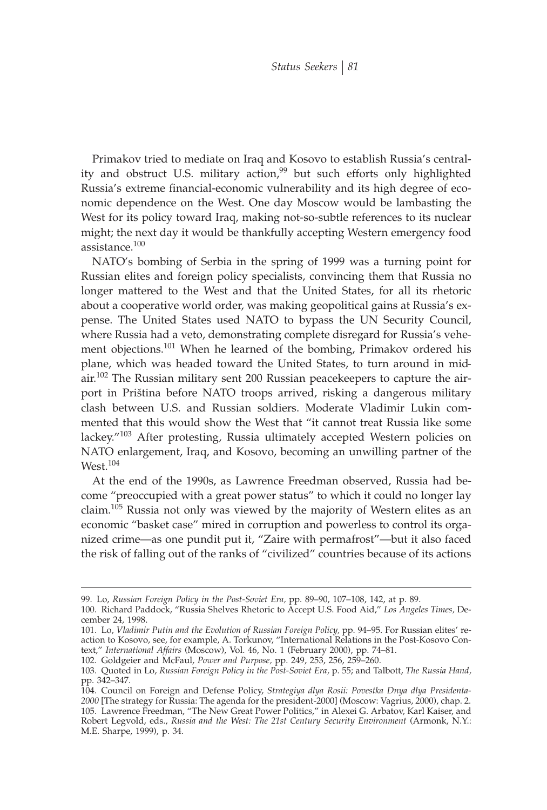Primakov tried to mediate on Iraq and Kosovo to establish Russia's centrality and obstruct U.S. military action, $99$  but such efforts only highlighted Russia's extreme financial-economic vulnerability and its high degree of economic dependence on the West. One day Moscow would be lambasting the West for its policy toward Iraq, making not-so-subtle references to its nuclear might; the next day it would be thankfully accepting Western emergency food assistance.<sup>100</sup>

NATO's bombing of Serbia in the spring of 1999 was a turning point for Russian elites and foreign policy specialists, convincing them that Russia no longer mattered to the West and that the United States, for all its rhetoric about a cooperative world order, was making geopolitical gains at Russia's expense. The United States used NATO to bypass the UN Security Council, where Russia had a veto, demonstrating complete disregard for Russia's vehement objections.<sup>101</sup> When he learned of the bombing, Primakov ordered his plane, which was headed toward the United States, to turn around in midair.<sup>102</sup> The Russian military sent 200 Russian peacekeepers to capture the airport in Priština before NATO troops arrived, risking a dangerous military clash between U.S. and Russian soldiers. Moderate Vladimir Lukin commented that this would show the West that "it cannot treat Russia like some lackey."<sup>103</sup> After protesting, Russia ultimately accepted Western policies on NATO enlargement, Iraq, and Kosovo, becoming an unwilling partner of the  $West<sup>104</sup>$ 

At the end of the 1990s, as Lawrence Freedman observed, Russia had become "preoccupied with a great power status" to which it could no longer lay claim.<sup>105</sup> Russia not only was viewed by the majority of Western elites as an economic "basket case" mired in corruption and powerless to control its organized crime—as one pundit put it, "Zaire with permafrost"—but it also faced the risk of falling out of the ranks of "civilized" countries because of its actions

<sup>99.</sup> Lo, *Russian Foreign Policy in the Post-Soviet Era,* pp. 89–90, 107–108, 142, at p. 89.

<sup>100.</sup> Richard Paddock, "Russia Shelves Rhetoric to Accept U.S. Food Aid," *Los Angeles Times,* December 24, 1998.

<sup>101.</sup> Lo, *Vladimir Putin and the Evolution of Russian Foreign Policy,* pp. 94–95. For Russian elites' reaction to Kosovo, see, for example, A. Torkunov, "International Relations in the Post-Kosovo Context," *International Affairs* (Moscow), Vol. 46, No. 1 (February 2000), pp. 74–81.

<sup>102.</sup> Goldgeier and McFaul, *Power and Purpose,* pp. 249, 253, 256, 259–260.

<sup>103.</sup> Quoted in Lo, *Russian Foreign Policy in the Post-Soviet Era,* p. 55; and Talbott, *The Russia Hand,* pp. 342–347.

<sup>104.</sup> Council on Foreign and Defense Policy, *Strategiya dlya Rosii: Povestka Dnya dlya Presidenta-2000* [The strategy for Russia: The agenda for the president-2000] (Moscow: Vagrius, 2000), chap. 2. 105. Lawrence Freedman, "The New Great Power Politics," in Alexei G. Arbatov, Karl Kaiser, and Robert Legvold, eds., *Russia and the West: The 21st Century Security Environment* (Armonk, N.Y.: M.E. Sharpe, 1999), p. 34.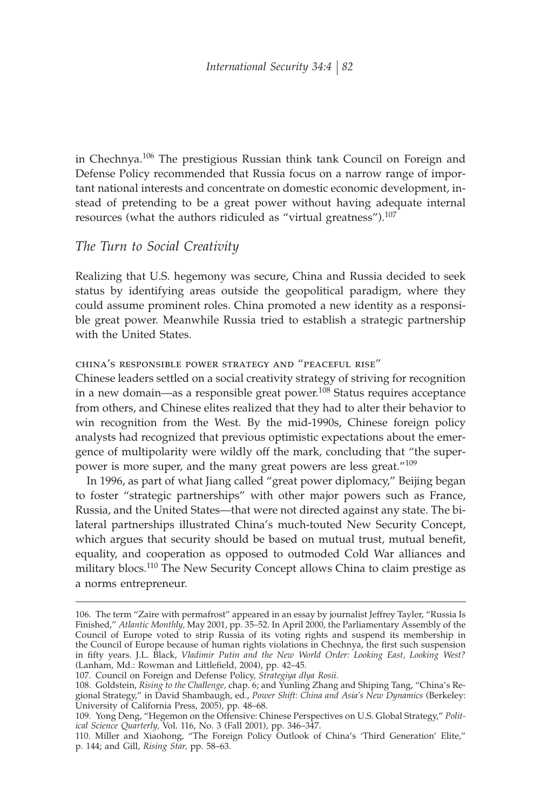in Chechnya.<sup>106</sup> The prestigious Russian think tank Council on Foreign and Defense Policy recommended that Russia focus on a narrow range of important national interests and concentrate on domestic economic development, instead of pretending to be a great power without having adequate internal resources (what the authors ridiculed as "virtual greatness").<sup>107</sup>

# *The Turn to Social Creativity*

Realizing that U.S. hegemony was secure, China and Russia decided to seek status by identifying areas outside the geopolitical paradigm, where they could assume prominent roles. China promoted a new identity as a responsible great power. Meanwhile Russia tried to establish a strategic partnership with the United States.

china's responsible power strategy and "peaceful rise"

Chinese leaders settled on a social creativity strategy of striving for recognition in a new domain—as a responsible great power.<sup>108</sup> Status requires acceptance from others, and Chinese elites realized that they had to alter their behavior to win recognition from the West. By the mid-1990s, Chinese foreign policy analysts had recognized that previous optimistic expectations about the emergence of multipolarity were wildly off the mark, concluding that "the superpower is more super, and the many great powers are less great."<sup>109</sup>

In 1996, as part of what Jiang called "great power diplomacy," Beijing began to foster "strategic partnerships" with other major powers such as France, Russia, and the United States—that were not directed against any state. The bilateral partnerships illustrated China's much-touted New Security Concept, which argues that security should be based on mutual trust, mutual benefit, equality, and cooperation as opposed to outmoded Cold War alliances and military blocs.<sup>110</sup> The New Security Concept allows China to claim prestige as a norms entrepreneur.

<sup>106.</sup> The term "Zaire with permafrost" appeared in an essay by journalist Jeffrey Tayler, "Russia Is Finished," *Atlantic Monthly,* May 2001, pp. 35–52. In April 2000, the Parliamentary Assembly of the Council of Europe voted to strip Russia of its voting rights and suspend its membership in the Council of Europe because of human rights violations in Chechnya, the first such suspension in ªfty years. J.L. Black, *Vladimir Putin and the New World Order: Looking East, Looking West?* (Lanham, Md.: Rowman and Littlefield, 2004), pp. 42-45.

<sup>107.</sup> Council on Foreign and Defense Policy, *Strategiya dlya Rosii.*

<sup>108.</sup> Goldstein, *Rising to the Challenge,* chap. 6; and Yunling Zhang and Shiping Tang, "China's Regional Strategy," in David Shambaugh, ed., *Power Shift: China and Asia's New Dynamics* (Berkeley: University of California Press, 2005), pp. 48–68.

<sup>109.</sup> Yong Deng, "Hegemon on the Offensive: Chinese Perspectives on U.S. Global Strategy," *Political Science Quarterly,* Vol. 116, No. 3 (Fall 2001), pp. 346–347.

<sup>110.</sup> Miller and Xiaohong, "The Foreign Policy Outlook of China's 'Third Generation' Elite," p. 144; and Gill, *Rising Star,* pp. 58–63.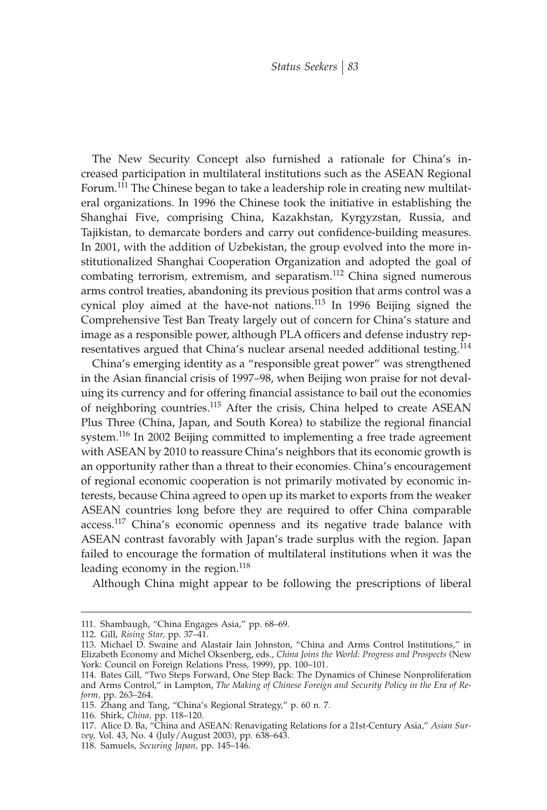The New Security Concept also furnished a rationale for China's increased participation in multilateral institutions such as the ASEAN Regional Forum.<sup>111</sup> The Chinese began to take a leadership role in creating new multilateral organizations. In 1996 the Chinese took the initiative in establishing the Shanghai Five, comprising China, Kazakhstan, Kyrgyzstan, Russia, and Tajikistan, to demarcate borders and carry out confidence-building measures. In 2001, with the addition of Uzbekistan, the group evolved into the more institutionalized Shanghai Cooperation Organization and adopted the goal of combating terrorism, extremism, and separatism.<sup>112</sup> China signed numerous arms control treaties, abandoning its previous position that arms control was a cynical ploy aimed at the have-not nations.<sup>113</sup> In 1996 Beijing signed the Comprehensive Test Ban Treaty largely out of concern for China's stature and image as a responsible power, although PLA officers and defense industry representatives argued that China's nuclear arsenal needed additional testing.<sup>114</sup>

China's emerging identity as a "responsible great power" was strengthened in the Asian financial crisis of 1997–98, when Beijing won praise for not devaluing its currency and for offering financial assistance to bail out the economies of neighboring countries.<sup>115</sup> After the crisis, China helped to create ASEAN Plus Three (China, Japan, and South Korea) to stabilize the regional financial system.<sup>116</sup> In 2002 Beijing committed to implementing a free trade agreement with ASEAN by 2010 to reassure China's neighbors that its economic growth is an opportunity rather than a threat to their economies. China's encouragement of regional economic cooperation is not primarily motivated by economic interests, because China agreed to open up its market to exports from the weaker ASEAN countries long before they are required to offer China comparable access.<sup>117</sup> China's economic openness and its negative trade balance with ASEAN contrast favorably with Japan's trade surplus with the region. Japan failed to encourage the formation of multilateral institutions when it was the leading economy in the region. $^{118}$ 

Although China might appear to be following the prescriptions of liberal

- 116. Shirk, *China,* pp. 118–120.
- 117. Alice D. Ba, "China and ASEAN: Renavigating Relations for a 21st-Century Asia," *Asian Survey,* Vol. 43, No. 4 (July/August 2003), pp. 638–643.
- 118. Samuels, *Securing Japan,* pp. 145–146.

<sup>111.</sup> Shambaugh, "China Engages Asia," pp. 68–69.

<sup>112.</sup> Gill, *Rising Star,* pp. 37–41.

<sup>113.</sup> Michael D. Swaine and Alastair Iain Johnston, "China and Arms Control Institutions," in Elizabeth Economy and Michel Oksenberg, eds., *China Joins the World: Progress and Prospects* (New York: Council on Foreign Relations Press, 1999), pp. 100–101.

<sup>114.</sup> Bates Gill, "Two Steps Forward, One Step Back: The Dynamics of Chinese Nonproliferation and Arms Control," in Lampton, *The Making of Chinese Foreign and Security Policy in the Era of Reform,* pp. 263–264.

<sup>115.</sup> Zhang and Tang, "China's Regional Strategy," p. 60 n. 7.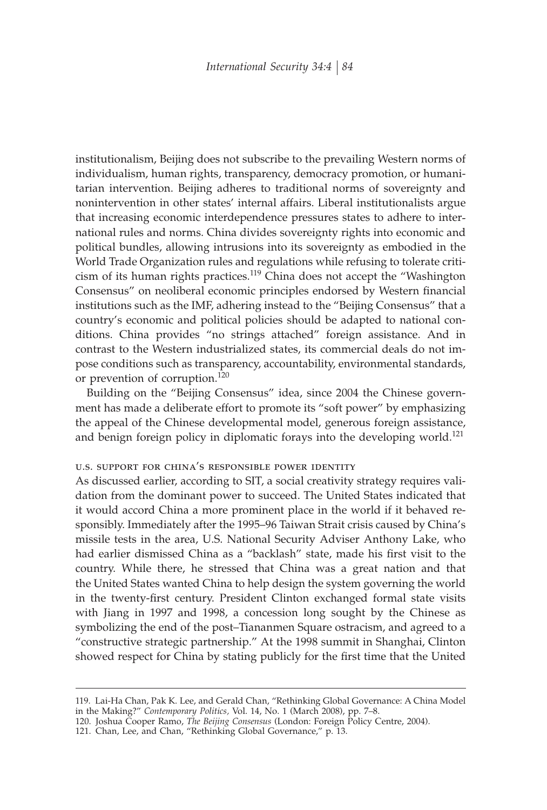institutionalism, Beijing does not subscribe to the prevailing Western norms of individualism, human rights, transparency, democracy promotion, or humanitarian intervention. Beijing adheres to traditional norms of sovereignty and nonintervention in other states' internal affairs. Liberal institutionalists argue that increasing economic interdependence pressures states to adhere to international rules and norms. China divides sovereignty rights into economic and political bundles, allowing intrusions into its sovereignty as embodied in the World Trade Organization rules and regulations while refusing to tolerate criticism of its human rights practices.<sup>119</sup> China does not accept the "Washington Consensus" on neoliberal economic principles endorsed by Western financial institutions such as the IMF, adhering instead to the "Beijing Consensus" that a country's economic and political policies should be adapted to national conditions. China provides "no strings attached" foreign assistance. And in contrast to the Western industrialized states, its commercial deals do not impose conditions such as transparency, accountability, environmental standards, or prevention of corruption.<sup>120</sup>

Building on the "Beijing Consensus" idea, since 2004 the Chinese government has made a deliberate effort to promote its "soft power" by emphasizing the appeal of the Chinese developmental model, generous foreign assistance, and benign foreign policy in diplomatic forays into the developing world.<sup>121</sup>

#### u.s. support for china's responsible power identity

As discussed earlier, according to SIT, a social creativity strategy requires validation from the dominant power to succeed. The United States indicated that it would accord China a more prominent place in the world if it behaved responsibly. Immediately after the 1995–96 Taiwan Strait crisis caused by China's missile tests in the area, U.S. National Security Adviser Anthony Lake, who had earlier dismissed China as a "backlash" state, made his first visit to the country. While there, he stressed that China was a great nation and that the United States wanted China to help design the system governing the world in the twenty-first century. President Clinton exchanged formal state visits with Jiang in 1997 and 1998, a concession long sought by the Chinese as symbolizing the end of the post–Tiananmen Square ostracism, and agreed to a "constructive strategic partnership." At the 1998 summit in Shanghai, Clinton showed respect for China by stating publicly for the first time that the United

<sup>119.</sup> Lai-Ha Chan, Pak K. Lee, and Gerald Chan, "Rethinking Global Governance: A China Model in the Making?" *Contemporary Politics,* Vol. 14, No. 1 (March 2008), pp. 7–8.

<sup>120.</sup> Joshua Cooper Ramo, *The Beijing Consensus* (London: Foreign Policy Centre, 2004).

<sup>121.</sup> Chan, Lee, and Chan, "Rethinking Global Governance," p. 13.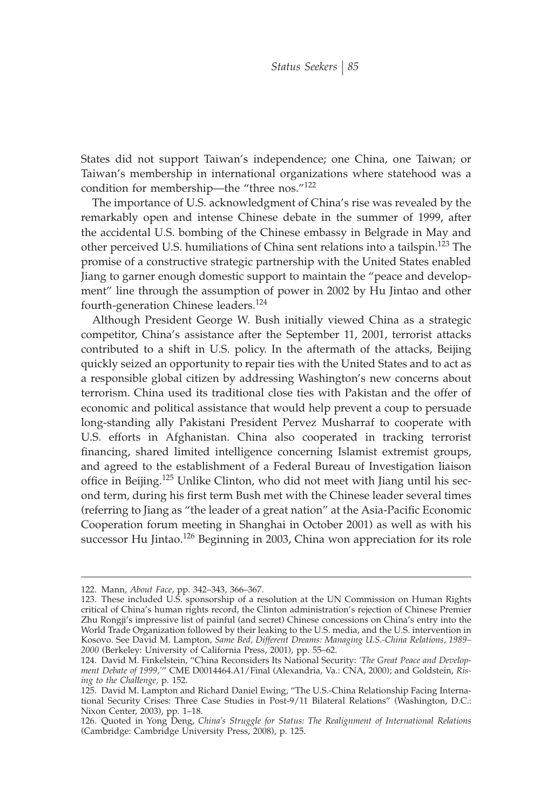States did not support Taiwan's independence; one China, one Taiwan; or Taiwan's membership in international organizations where statehood was a condition for membership—the "three nos."<sup>122</sup>

The importance of U.S. acknowledgment of China's rise was revealed by the remarkably open and intense Chinese debate in the summer of 1999, after the accidental U.S. bombing of the Chinese embassy in Belgrade in May and other perceived U.S. humiliations of China sent relations into a tailspin.<sup>123</sup> The promise of a constructive strategic partnership with the United States enabled Jiang to garner enough domestic support to maintain the "peace and development" line through the assumption of power in 2002 by Hu Jintao and other fourth-generation Chinese leaders.<sup>124</sup>

Although President George W. Bush initially viewed China as a strategic competitor, China's assistance after the September 11, 2001, terrorist attacks contributed to a shift in U.S. policy. In the aftermath of the attacks, Beijing quickly seized an opportunity to repair ties with the United States and to act as a responsible global citizen by addressing Washington's new concerns about terrorism. China used its traditional close ties with Pakistan and the offer of economic and political assistance that would help prevent a coup to persuade long-standing ally Pakistani President Pervez Musharraf to cooperate with U.S. efforts in Afghanistan. China also cooperated in tracking terrorist financing, shared limited intelligence concerning Islamist extremist groups, and agreed to the establishment of a Federal Bureau of Investigation liaison office in Beijing.<sup>125</sup> Unlike Clinton, who did not meet with Jiang until his second term, during his first term Bush met with the Chinese leader several times (referring to Jiang as "the leader of a great nation" at the Asia-Pacific Economic Cooperation forum meeting in Shanghai in October 2001) as well as with his successor Hu Jintao.<sup>126</sup> Beginning in 2003, China won appreciation for its role

<sup>122.</sup> Mann, *About Face,* pp. 342–343, 366–367.

<sup>123.</sup> These included U.S. sponsorship of a resolution at the UN Commission on Human Rights critical of China's human rights record, the Clinton administration's rejection of Chinese Premier Zhu Rongji's impressive list of painful (and secret) Chinese concessions on China's entry into the World Trade Organization followed by their leaking to the U.S. media, and the U.S. intervention in Kosovo. See David M. Lampton, *Same Bed, Different Dreams: Managing U.S.-China Relations, 1989– 2000* (Berkeley: University of California Press, 2001), pp. 55–62.

<sup>124.</sup> David M. Finkelstein, "China Reconsiders Its National Security: *'The Great Peace and Development Debate of 1999,'*" CME D0014464.A1/Final (Alexandria, Va.: CNA, 2000); and Goldstein, *Rising to the Challenge,* p. 152.

<sup>125.</sup> David M. Lampton and Richard Daniel Ewing, "The U.S.-China Relationship Facing International Security Crises: Three Case Studies in Post-9/11 Bilateral Relations" (Washington, D.C.: Nixon Center, 2003), pp. 1–18.

<sup>126.</sup> Quoted in Yong Deng, *China's Struggle for Status: The Realignment of International Relations* (Cambridge: Cambridge University Press, 2008), p. 125.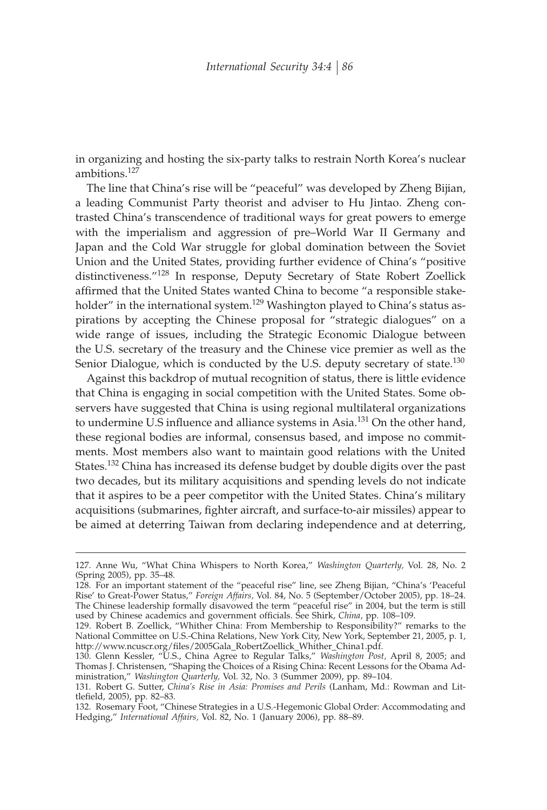in organizing and hosting the six-party talks to restrain North Korea's nuclear ambitions<sup>127</sup>

The line that China's rise will be "peaceful" was developed by Zheng Bijian, a leading Communist Party theorist and adviser to Hu Jintao. Zheng contrasted China's transcendence of traditional ways for great powers to emerge with the imperialism and aggression of pre–World War II Germany and Japan and the Cold War struggle for global domination between the Soviet Union and the United States, providing further evidence of China's "positive distinctiveness."<sup>128</sup> In response, Deputy Secretary of State Robert Zoellick affirmed that the United States wanted China to become "a responsible stakeholder" in the international system.<sup>129</sup> Washington played to China's status aspirations by accepting the Chinese proposal for "strategic dialogues" on a wide range of issues, including the Strategic Economic Dialogue between the U.S. secretary of the treasury and the Chinese vice premier as well as the Senior Dialogue, which is conducted by the U.S. deputy secretary of state.<sup>130</sup>

Against this backdrop of mutual recognition of status, there is little evidence that China is engaging in social competition with the United States. Some observers have suggested that China is using regional multilateral organizations to undermine U.S influence and alliance systems in Asia.<sup>131</sup> On the other hand, these regional bodies are informal, consensus based, and impose no commitments. Most members also want to maintain good relations with the United States.<sup>132</sup> China has increased its defense budget by double digits over the past two decades, but its military acquisitions and spending levels do not indicate that it aspires to be a peer competitor with the United States. China's military acquisitions (submarines, fighter aircraft, and surface-to-air missiles) appear to be aimed at deterring Taiwan from declaring independence and at deterring,

<sup>127.</sup> Anne Wu, "What China Whispers to North Korea," *Washington Quarterly,* Vol. 28, No. 2 (Spring 2005), pp. 35–48.

<sup>128.</sup> For an important statement of the "peaceful rise" line, see Zheng Bijian, "China's 'Peaceful Rise' to Great-Power Status," *Foreign Affairs,* Vol. 84, No. 5 (September/October 2005), pp. 18–24. The Chinese leadership formally disavowed the term "peaceful rise" in 2004, but the term is still used by Chinese academics and government officials. See Shirk, *China*, pp. 108–109.

<sup>129.</sup> Robert B. Zoellick, "Whither China: From Membership to Responsibility?" remarks to the National Committee on U.S.-China Relations, New York City, New York, September 21, 2005, p. 1, http://www.ncuscr.org/files/2005Gala\_RobertZoellick\_Whither\_China1.pdf.

<sup>130.</sup> Glenn Kessler, "U.S., China Agree to Regular Talks," *Washington Post,* April 8, 2005; and Thomas J. Christensen, "Shaping the Choices of a Rising China: Recent Lessons for the Obama Administration," *Washington Quarterly,* Vol. 32, No. 3 (Summer 2009), pp. 89–104.

<sup>131.</sup> Robert G. Sutter, *China's Rise in Asia: Promises and Perils* (Lanham, Md.: Rowman and Littlefield, 2005), pp. 82-83.

<sup>132.</sup> Rosemary Foot, "Chinese Strategies in a U.S.-Hegemonic Global Order: Accommodating and Hedging," *International Affairs,* Vol. 82, No. 1 (January 2006), pp. 88–89.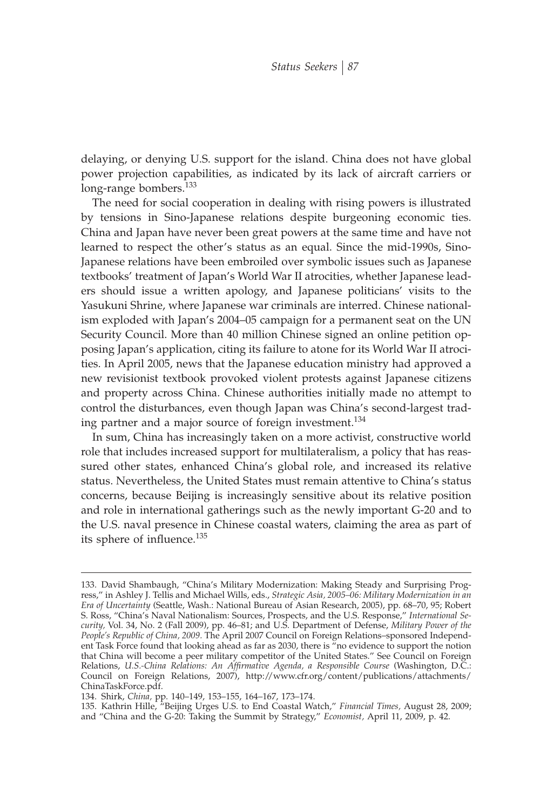*Status Seekers 87*

delaying, or denying U.S. support for the island. China does not have global power projection capabilities, as indicated by its lack of aircraft carriers or long-range bombers.<sup>133</sup>

The need for social cooperation in dealing with rising powers is illustrated by tensions in Sino-Japanese relations despite burgeoning economic ties. China and Japan have never been great powers at the same time and have not learned to respect the other's status as an equal. Since the mid-1990s, Sino-Japanese relations have been embroiled over symbolic issues such as Japanese textbooks' treatment of Japan's World War II atrocities, whether Japanese leaders should issue a written apology, and Japanese politicians' visits to the Yasukuni Shrine, where Japanese war criminals are interred. Chinese nationalism exploded with Japan's 2004–05 campaign for a permanent seat on the UN Security Council. More than 40 million Chinese signed an online petition opposing Japan's application, citing its failure to atone for its World War II atrocities. In April 2005, news that the Japanese education ministry had approved a new revisionist textbook provoked violent protests against Japanese citizens and property across China. Chinese authorities initially made no attempt to control the disturbances, even though Japan was China's second-largest trading partner and a major source of foreign investment.<sup>134</sup>

In sum, China has increasingly taken on a more activist, constructive world role that includes increased support for multilateralism, a policy that has reassured other states, enhanced China's global role, and increased its relative status. Nevertheless, the United States must remain attentive to China's status concerns, because Beijing is increasingly sensitive about its relative position and role in international gatherings such as the newly important G-20 and to the U.S. naval presence in Chinese coastal waters, claiming the area as part of its sphere of influence. $135$ 

<sup>133.</sup> David Shambaugh, "China's Military Modernization: Making Steady and Surprising Progress," in Ashley J. Tellis and Michael Wills, eds., *Strategic Asia, 2005–06: Military Modernization in an Era of Uncertainty* (Seattle, Wash.: National Bureau of Asian Research, 2005), pp. 68–70, 95; Robert S. Ross, "China's Naval Nationalism: Sources, Prospects, and the U.S. Response," *International Security,* Vol. 34, No. 2 (Fall 2009), pp. 46–81; and U.S. Department of Defense, *Military Power of the People's Republic of China, 2009.* The April 2007 Council on Foreign Relations–sponsored Independent Task Force found that looking ahead as far as 2030, there is "no evidence to support the notion that China will become a peer military competitor of the United States." See Council on Foreign Relations, *U.S.-China Relations: An Affirmative Agenda, a Responsible Course* (Washington, D.C.: Council on Foreign Relations, 2007), http://www.cfr.org/content/publications/attachments/ ChinaTaskForce.pdf.

<sup>134.</sup> Shirk, *China,* pp. 140–149, 153–155, 164–167, 173–174.

<sup>135.</sup> Kathrin Hille, "Beijing Urges U.S. to End Coastal Watch," *Financial Times,* August 28, 2009; and "China and the G-20: Taking the Summit by Strategy," *Economist,* April 11, 2009, p. 42.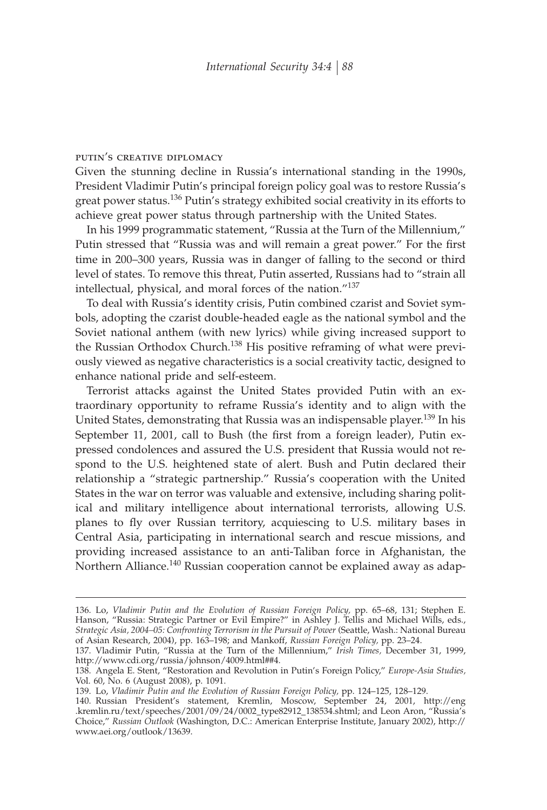#### putin's creative diplomacy

Given the stunning decline in Russia's international standing in the 1990s, President Vladimir Putin's principal foreign policy goal was to restore Russia's great power status.<sup>136</sup> Putin's strategy exhibited social creativity in its efforts to achieve great power status through partnership with the United States.

In his 1999 programmatic statement, "Russia at the Turn of the Millennium," Putin stressed that "Russia was and will remain a great power." For the first time in 200–300 years, Russia was in danger of falling to the second or third level of states. To remove this threat, Putin asserted, Russians had to "strain all intellectual, physical, and moral forces of the nation."<sup>137</sup>

To deal with Russia's identity crisis, Putin combined czarist and Soviet symbols, adopting the czarist double-headed eagle as the national symbol and the Soviet national anthem (with new lyrics) while giving increased support to the Russian Orthodox Church.<sup>138</sup> His positive reframing of what were previously viewed as negative characteristics is a social creativity tactic, designed to enhance national pride and self-esteem.

Terrorist attacks against the United States provided Putin with an extraordinary opportunity to reframe Russia's identity and to align with the United States, demonstrating that Russia was an indispensable player.<sup>139</sup> In his September 11, 2001, call to Bush (the first from a foreign leader), Putin expressed condolences and assured the U.S. president that Russia would not respond to the U.S. heightened state of alert. Bush and Putin declared their relationship a "strategic partnership." Russia's cooperation with the United States in the war on terror was valuable and extensive, including sharing political and military intelligence about international terrorists, allowing U.S. planes to fly over Russian territory, acquiescing to U.S. military bases in Central Asia, participating in international search and rescue missions, and providing increased assistance to an anti-Taliban force in Afghanistan, the Northern Alliance.<sup>140</sup> Russian cooperation cannot be explained away as adap-

<sup>136.</sup> Lo, *Vladimir Putin and the Evolution of Russian Foreign Policy,* pp. 65–68, 131; Stephen E. Hanson, "Russia: Strategic Partner or Evil Empire?" in Ashley J. Tellis and Michael Wills, eds., *Strategic Asia, 2004–05: Confronting Terrorism in the Pursuit of Power* (Seattle, Wash.: National Bureau of Asian Research, 2004), pp. 163–198; and Mankoff, *Russian Foreign Policy,* pp. 23–24.

<sup>137.</sup> Vladimir Putin, "Russia at the Turn of the Millennium," *Irish Times,* December 31, 1999, http://www.cdi.org/russia/johnson/4009.html##4.

<sup>138.</sup> Angela E. Stent, "Restoration and Revolution in Putin's Foreign Policy," *Europe-Asia Studies,* Vol. 60, No. 6 (August 2008), p. 1091.

<sup>139.</sup> Lo, *Vladimir Putin and the Evolution of Russian Foreign Policy,* pp. 124–125, 128–129.

<sup>140.</sup> Russian President's statement, Kremlin, Moscow, September 24, 2001, http://eng .kremlin.ru/text/speeches/2001/09/24/0002\_type82912\_138534.shtml; and Leon Aron, "Russia's Choice," *Russian Outlook* (Washington, D.C.: American Enterprise Institute, January 2002), http:// www.aei.org/outlook/13639.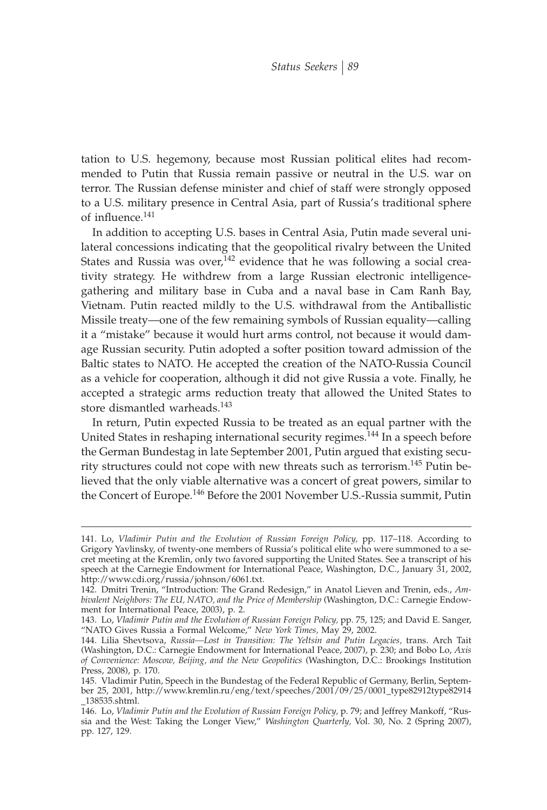tation to U.S. hegemony, because most Russian political elites had recommended to Putin that Russia remain passive or neutral in the U.S. war on terror. The Russian defense minister and chief of staff were strongly opposed to a U.S. military presence in Central Asia, part of Russia's traditional sphere of influence.<sup>141</sup>

In addition to accepting U.S. bases in Central Asia, Putin made several unilateral concessions indicating that the geopolitical rivalry between the United States and Russia was over, $142$  evidence that he was following a social creativity strategy. He withdrew from a large Russian electronic intelligencegathering and military base in Cuba and a naval base in Cam Ranh Bay, Vietnam. Putin reacted mildly to the U.S. withdrawal from the Antiballistic Missile treaty—one of the few remaining symbols of Russian equality—calling it a "mistake" because it would hurt arms control, not because it would damage Russian security. Putin adopted a softer position toward admission of the Baltic states to NATO. He accepted the creation of the NATO-Russia Council as a vehicle for cooperation, although it did not give Russia a vote. Finally, he accepted a strategic arms reduction treaty that allowed the United States to store dismantled warheads.<sup>143</sup>

In return, Putin expected Russia to be treated as an equal partner with the United States in reshaping international security regimes.<sup>144</sup> In a speech before the German Bundestag in late September 2001, Putin argued that existing security structures could not cope with new threats such as terrorism.<sup>145</sup> Putin believed that the only viable alternative was a concert of great powers, similar to the Concert of Europe.<sup>146</sup> Before the 2001 November U.S.-Russia summit, Putin

<sup>141.</sup> Lo, *Vladimir Putin and the Evolution of Russian Foreign Policy,* pp. 117–118. According to Grigory Yavlinsky, of twenty-one members of Russia's political elite who were summoned to a secret meeting at the Kremlin, only two favored supporting the United States. See a transcript of his speech at the Carnegie Endowment for International Peace, Washington, D.C., January 31, 2002, http://www.cdi.org/russia/johnson/6061.txt.

<sup>142.</sup> Dmitri Trenin, "Introduction: The Grand Redesign," in Anatol Lieven and Trenin, eds., *Ambivalent Neighbors: The EU, NATO, and the Price of Membership* (Washington, D.C.: Carnegie Endowment for International Peace, 2003), p. 2.

<sup>143.</sup> Lo, *Vladimir Putin and the Evolution of Russian Foreign Policy,* pp. 75, 125; and David E. Sanger, "NATO Gives Russia a Formal Welcome," *New York Times,* May 29, 2002.

<sup>144.</sup> Lilia Shevtsova, *Russia—Lost in Transition: The Yeltsin and Putin Legacies,* trans. Arch Tait (Washington, D.C.: Carnegie Endowment for International Peace, 2007), p. 230; and Bobo Lo, *Axis of Convenience: Moscow, Beijing, and the New Geopolitics* (Washington, D.C.: Brookings Institution Press, 2008), p. 170.

<sup>145.</sup> Vladimir Putin, Speech in the Bundestag of the Federal Republic of Germany, Berlin, September 25, 2001, http://www.kremlin.ru/eng/text/speeches/2001/09/25/0001\_type82912type82914 \_138535.shtml.

<sup>146.</sup> Lo, *Vladimir Putin and the Evolution of Russian Foreign Policy,* p. 79; and Jeffrey Mankoff, "Russia and the West: Taking the Longer View," *Washington Quarterly,* Vol. 30, No. 2 (Spring 2007), pp. 127, 129.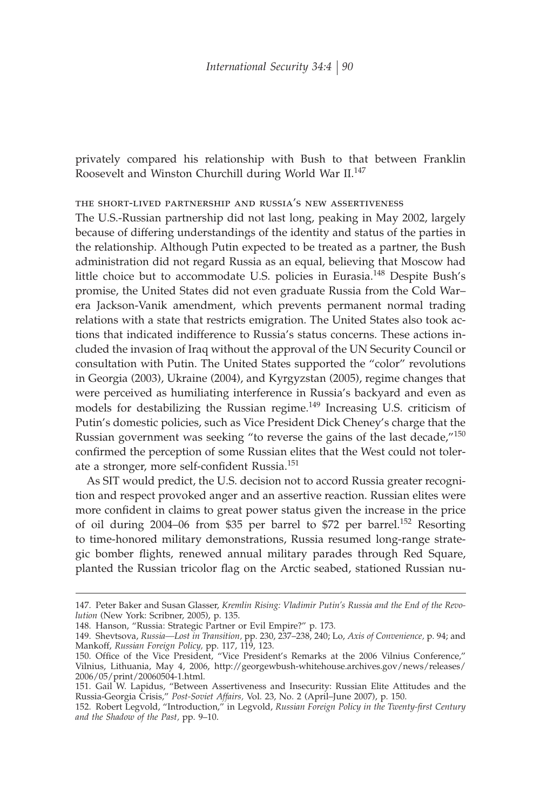privately compared his relationship with Bush to that between Franklin Roosevelt and Winston Churchill during World War II.<sup>147</sup>

### the short-lived partnership and russia's new assertiveness

The U.S.-Russian partnership did not last long, peaking in May 2002, largely because of differing understandings of the identity and status of the parties in the relationship. Although Putin expected to be treated as a partner, the Bush administration did not regard Russia as an equal, believing that Moscow had little choice but to accommodate U.S. policies in Eurasia.<sup>148</sup> Despite Bush's promise, the United States did not even graduate Russia from the Cold War– era Jackson-Vanik amendment, which prevents permanent normal trading relations with a state that restricts emigration. The United States also took actions that indicated indifference to Russia's status concerns. These actions included the invasion of Iraq without the approval of the UN Security Council or consultation with Putin. The United States supported the "color" revolutions in Georgia (2003), Ukraine (2004), and Kyrgyzstan (2005), regime changes that were perceived as humiliating interference in Russia's backyard and even as models for destabilizing the Russian regime.<sup>149</sup> Increasing U.S. criticism of Putin's domestic policies, such as Vice President Dick Cheney's charge that the Russian government was seeking "to reverse the gains of the last decade,"<sup>150</sup> confirmed the perception of some Russian elites that the West could not tolerate a stronger, more self-confident Russia.<sup>151</sup>

As SIT would predict, the U.S. decision not to accord Russia greater recognition and respect provoked anger and an assertive reaction. Russian elites were more confident in claims to great power status given the increase in the price of oil during 2004–06 from \$35 per barrel to \$72 per barrel.<sup>152</sup> Resorting to time-honored military demonstrations, Russia resumed long-range strategic bomber flights, renewed annual military parades through Red Square, planted the Russian tricolor flag on the Arctic seabed, stationed Russian nu-

<sup>147.</sup> Peter Baker and Susan Glasser, *Kremlin Rising: Vladimir Putin's Russia and the End of the Revolution* (New York: Scribner, 2005), p. 135.

<sup>148.</sup> Hanson, "Russia: Strategic Partner or Evil Empire?" p. 173.

<sup>149.</sup> Shevtsova, *Russia—Lost in Transition,* pp. 230, 237–238, 240; Lo, *Axis of Convenience,* p. 94; and Mankoff, *Russian Foreign Policy,* pp. 117, 119, 123.

<sup>150.</sup> Office of the Vice President, "Vice President's Remarks at the 2006 Vilnius Conference," Vilnius, Lithuania, May 4, 2006, http://georgewbush-whitehouse.archives.gov/news/releases/ 2006/05/print/20060504-1.html.

<sup>151.</sup> Gail W. Lapidus, "Between Assertiveness and Insecurity: Russian Elite Attitudes and the Russia-Georgia Crisis," *Post-Soviet Affairs,* Vol. 23, No. 2 (April–June 2007), p. 150.

<sup>152.</sup> Robert Legvold, "Introduction," in Legvold, *Russian Foreign Policy in the Twenty-first Century and the Shadow of the Past,* pp. 9–10.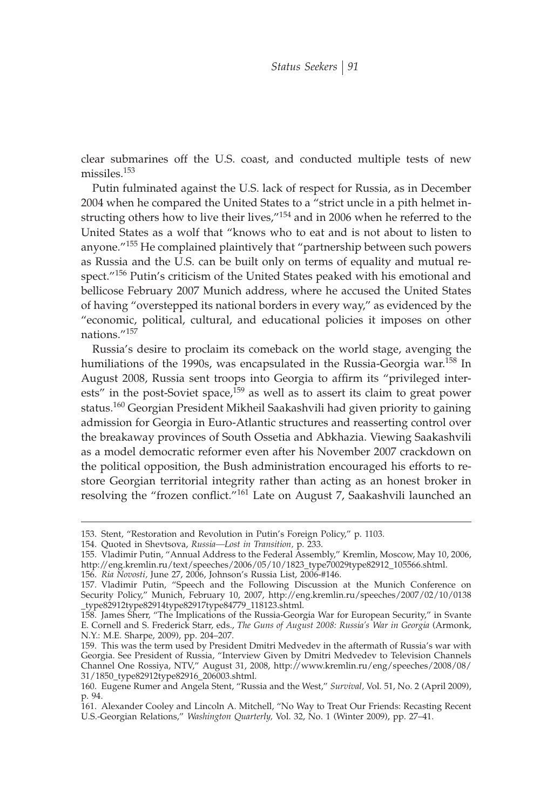*Status Seekers 91*

clear submarines off the U.S. coast, and conducted multiple tests of new missiles $153$ 

Putin fulminated against the U.S. lack of respect for Russia, as in December 2004 when he compared the United States to a "strict uncle in a pith helmet instructing others how to live their lives,"<sup>154</sup> and in 2006 when he referred to the United States as a wolf that "knows who to eat and is not about to listen to anyone."<sup>155</sup> He complained plaintively that "partnership between such powers as Russia and the U.S. can be built only on terms of equality and mutual respect."<sup>156</sup> Putin's criticism of the United States peaked with his emotional and bellicose February 2007 Munich address, where he accused the United States of having "overstepped its national borders in every way," as evidenced by the "economic, political, cultural, and educational policies it imposes on other nations."<sup>157</sup>

Russia's desire to proclaim its comeback on the world stage, avenging the humiliations of the 1990s, was encapsulated in the Russia-Georgia war.<sup>158</sup> In August 2008, Russia sent troops into Georgia to affirm its "privileged interests" in the post-Soviet space, $159$  as well as to assert its claim to great power status.<sup>160</sup> Georgian President Mikheil Saakashvili had given priority to gaining admission for Georgia in Euro-Atlantic structures and reasserting control over the breakaway provinces of South Ossetia and Abkhazia. Viewing Saakashvili as a model democratic reformer even after his November 2007 crackdown on the political opposition, the Bush administration encouraged his efforts to restore Georgian territorial integrity rather than acting as an honest broker in resolving the "frozen conflict."<sup>161</sup> Late on August 7, Saakashvili launched an

<sup>153.</sup> Stent, "Restoration and Revolution in Putin's Foreign Policy," p. 1103.

<sup>154.</sup> Quoted in Shevtsova, *Russia—Lost in Transition,* p. 233.

<sup>155.</sup> Vladimir Putin, "Annual Address to the Federal Assembly," Kremlin, Moscow, May 10, 2006, http://eng.kremlin.ru/text/speeches/2006/05/10/1823\_type70029type82912\_105566.shtml.

<sup>156.</sup> *Ria Novosti,* June 27, 2006, Johnson's Russia List, 2006-#146.

<sup>157.</sup> Vladimir Putin, "Speech and the Following Discussion at the Munich Conference on Security Policy," Munich, February 10, 2007, http://eng.kremlin.ru/speeches/2007/02/10/0138 \_type82912type82914type82917type84779\_118123.shtml.

<sup>158.</sup> James Sherr, "The Implications of the Russia-Georgia War for European Security," in Svante E. Cornell and S. Frederick Starr, eds., *The Guns of August 2008: Russia's War in Georgia* (Armonk, N.Y.: M.E. Sharpe, 2009), pp. 204–207.

<sup>159.</sup> This was the term used by President Dmitri Medvedev in the aftermath of Russia's war with Georgia. See President of Russia, "Interview Given by Dmitri Medvedev to Television Channels Channel One Rossiya, NTV," August 31, 2008, http://www.kremlin.ru/eng/speeches/2008/08/ 31/1850\_type82912type82916\_206003.shtml.

<sup>160.</sup> Eugene Rumer and Angela Stent, "Russia and the West," *Survival,* Vol. 51, No. 2 (April 2009), p. 94.

<sup>161.</sup> Alexander Cooley and Lincoln A. Mitchell, "No Way to Treat Our Friends: Recasting Recent U.S.-Georgian Relations," *Washington Quarterly,* Vol. 32, No. 1 (Winter 2009), pp. 27–41.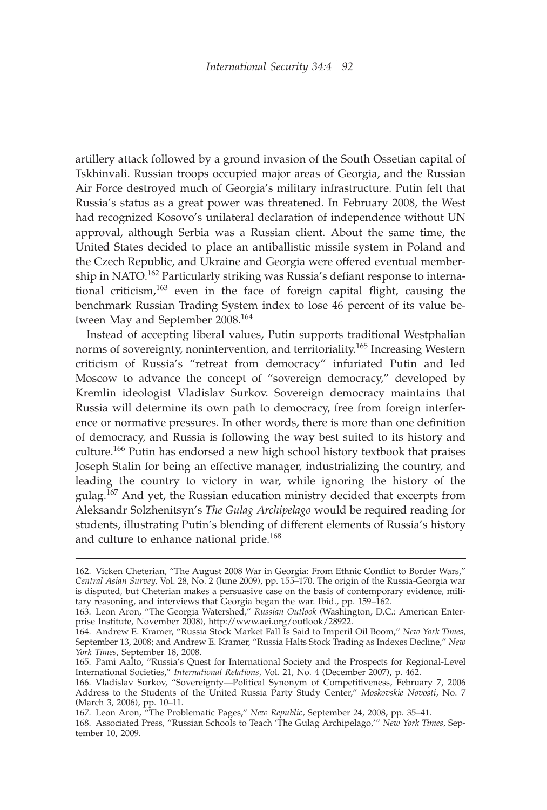artillery attack followed by a ground invasion of the South Ossetian capital of Tskhinvali. Russian troops occupied major areas of Georgia, and the Russian Air Force destroyed much of Georgia's military infrastructure. Putin felt that Russia's status as a great power was threatened. In February 2008, the West had recognized Kosovo's unilateral declaration of independence without UN approval, although Serbia was a Russian client. About the same time, the United States decided to place an antiballistic missile system in Poland and the Czech Republic, and Ukraine and Georgia were offered eventual membership in NATO.<sup>162</sup> Particularly striking was Russia's defiant response to international criticism, $163$  even in the face of foreign capital flight, causing the benchmark Russian Trading System index to lose 46 percent of its value between May and September 2008.<sup>164</sup>

Instead of accepting liberal values, Putin supports traditional Westphalian norms of sovereignty, nonintervention, and territoriality.<sup>165</sup> Increasing Western criticism of Russia's "retreat from democracy" infuriated Putin and led Moscow to advance the concept of "sovereign democracy," developed by Kremlin ideologist Vladislav Surkov. Sovereign democracy maintains that Russia will determine its own path to democracy, free from foreign interference or normative pressures. In other words, there is more than one definition of democracy, and Russia is following the way best suited to its history and culture.<sup>166</sup> Putin has endorsed a new high school history textbook that praises Joseph Stalin for being an effective manager, industrializing the country, and leading the country to victory in war, while ignoring the history of the gulag.<sup>167</sup> And yet, the Russian education ministry decided that excerpts from Aleksandr Solzhenitsyn's *The Gulag Archipelago* would be required reading for students, illustrating Putin's blending of different elements of Russia's history and culture to enhance national pride.<sup>168</sup>

<sup>162.</sup> Vicken Cheterian, "The August 2008 War in Georgia: From Ethnic Conflict to Border Wars," *Central Asian Survey,* Vol. 28, No. 2 (June 2009), pp. 155–170. The origin of the Russia-Georgia war is disputed, but Cheterian makes a persuasive case on the basis of contemporary evidence, military reasoning, and interviews that Georgia began the war. Ibid., pp. 159–162.

<sup>163.</sup> Leon Aron, "The Georgia Watershed," *Russian Outlook* (Washington, D.C.: American Enterprise Institute, November 2008), http://www.aei.org/outlook/28922.

<sup>164.</sup> Andrew E. Kramer, "Russia Stock Market Fall Is Said to Imperil Oil Boom," *New York Times,* September 13, 2008; and Andrew E. Kramer, "Russia Halts Stock Trading as Indexes Decline," *New York Times,* September 18, 2008.

<sup>165.</sup> Pami Aalto, "Russia's Quest for International Society and the Prospects for Regional-Level International Societies," *International Relations,* Vol. 21, No. 4 (December 2007), p. 462.

<sup>166.</sup> Vladislav Surkov, "Sovereignty—Political Synonym of Competitiveness, February 7, 2006 Address to the Students of the United Russia Party Study Center," *Moskovskie Novosti,* No. 7 (March 3, 2006), pp. 10–11.

<sup>167.</sup> Leon Aron, "The Problematic Pages," *New Republic,* September 24, 2008, pp. 35–41.

<sup>168.</sup> Associated Press, "Russian Schools to Teach 'The Gulag Archipelago,'" *New York Times,* September 10, 2009.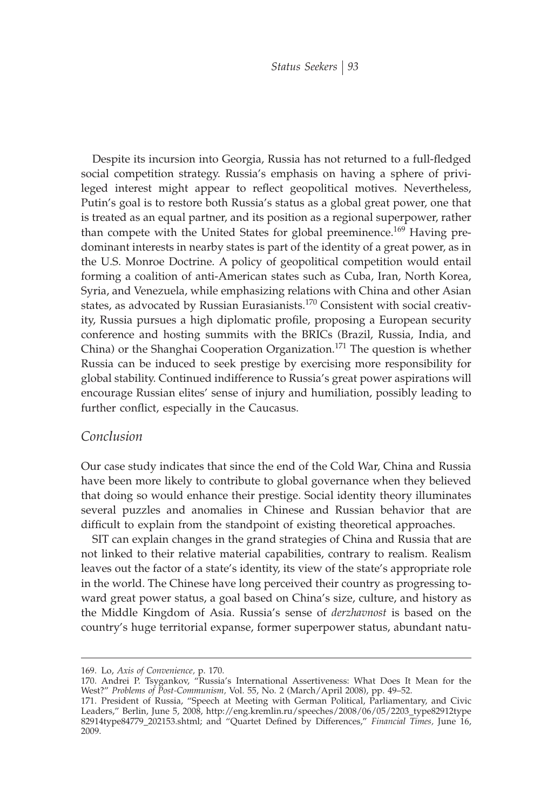*Status Seekers 93*

Despite its incursion into Georgia, Russia has not returned to a full-fledged social competition strategy. Russia's emphasis on having a sphere of privileged interest might appear to reflect geopolitical motives. Nevertheless, Putin's goal is to restore both Russia's status as a global great power, one that is treated as an equal partner, and its position as a regional superpower, rather than compete with the United States for global preeminence.<sup>169</sup> Having predominant interests in nearby states is part of the identity of a great power, as in the U.S. Monroe Doctrine. A policy of geopolitical competition would entail forming a coalition of anti-American states such as Cuba, Iran, North Korea, Syria, and Venezuela, while emphasizing relations with China and other Asian states, as advocated by Russian Eurasianists.<sup>170</sup> Consistent with social creativity, Russia pursues a high diplomatic profile, proposing a European security conference and hosting summits with the BRICs (Brazil, Russia, India, and China) or the Shanghai Cooperation Organization.<sup>171</sup> The question is whether Russia can be induced to seek prestige by exercising more responsibility for global stability. Continued indifference to Russia's great power aspirations will encourage Russian elites' sense of injury and humiliation, possibly leading to further conflict, especially in the Caucasus.

# *Conclusion*

Our case study indicates that since the end of the Cold War, China and Russia have been more likely to contribute to global governance when they believed that doing so would enhance their prestige. Social identity theory illuminates several puzzles and anomalies in Chinese and Russian behavior that are difficult to explain from the standpoint of existing theoretical approaches.

SIT can explain changes in the grand strategies of China and Russia that are not linked to their relative material capabilities, contrary to realism. Realism leaves out the factor of a state's identity, its view of the state's appropriate role in the world. The Chinese have long perceived their country as progressing toward great power status, a goal based on China's size, culture, and history as the Middle Kingdom of Asia. Russia's sense of *derzhavnost* is based on the country's huge territorial expanse, former superpower status, abundant natu-

<sup>169.</sup> Lo, *Axis of Convenience,* p. 170.

<sup>170.</sup> Andrei P. Tsygankov, "Russia's International Assertiveness: What Does It Mean for the West?" *Problems of Post-Communism,* Vol. 55, No. 2 (March/April 2008), pp. 49–52.

<sup>171.</sup> President of Russia, "Speech at Meeting with German Political, Parliamentary, and Civic Leaders," Berlin, June 5, 2008, http://eng.kremlin.ru/speeches/2008/06/05/2203\_type82912type 82914type84779<sup>'</sup>202153.shtml; and "Quartet Defined by Differences," *Financial Times*, June 16, 2009.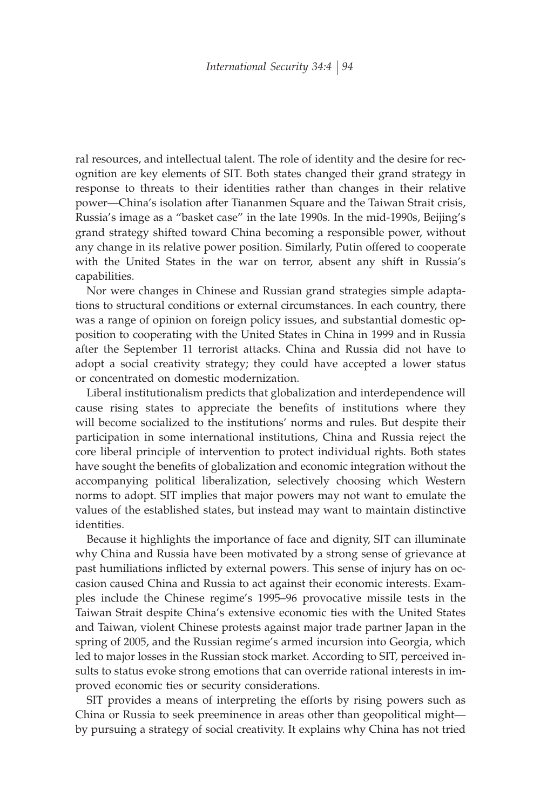ral resources, and intellectual talent. The role of identity and the desire for recognition are key elements of SIT. Both states changed their grand strategy in response to threats to their identities rather than changes in their relative power—China's isolation after Tiananmen Square and the Taiwan Strait crisis, Russia's image as a "basket case" in the late 1990s. In the mid-1990s, Beijing's grand strategy shifted toward China becoming a responsible power, without any change in its relative power position. Similarly, Putin offered to cooperate with the United States in the war on terror, absent any shift in Russia's capabilities.

Nor were changes in Chinese and Russian grand strategies simple adaptations to structural conditions or external circumstances. In each country, there was a range of opinion on foreign policy issues, and substantial domestic opposition to cooperating with the United States in China in 1999 and in Russia after the September 11 terrorist attacks. China and Russia did not have to adopt a social creativity strategy; they could have accepted a lower status or concentrated on domestic modernization.

Liberal institutionalism predicts that globalization and interdependence will cause rising states to appreciate the benefits of institutions where they will become socialized to the institutions' norms and rules. But despite their participation in some international institutions, China and Russia reject the core liberal principle of intervention to protect individual rights. Both states have sought the benefits of globalization and economic integration without the accompanying political liberalization, selectively choosing which Western norms to adopt. SIT implies that major powers may not want to emulate the values of the established states, but instead may want to maintain distinctive identities.

Because it highlights the importance of face and dignity, SIT can illuminate why China and Russia have been motivated by a strong sense of grievance at past humiliations inflicted by external powers. This sense of injury has on occasion caused China and Russia to act against their economic interests. Examples include the Chinese regime's 1995–96 provocative missile tests in the Taiwan Strait despite China's extensive economic ties with the United States and Taiwan, violent Chinese protests against major trade partner Japan in the spring of 2005, and the Russian regime's armed incursion into Georgia, which led to major losses in the Russian stock market. According to SIT, perceived insults to status evoke strong emotions that can override rational interests in improved economic ties or security considerations.

SIT provides a means of interpreting the efforts by rising powers such as China or Russia to seek preeminence in areas other than geopolitical might by pursuing a strategy of social creativity. It explains why China has not tried